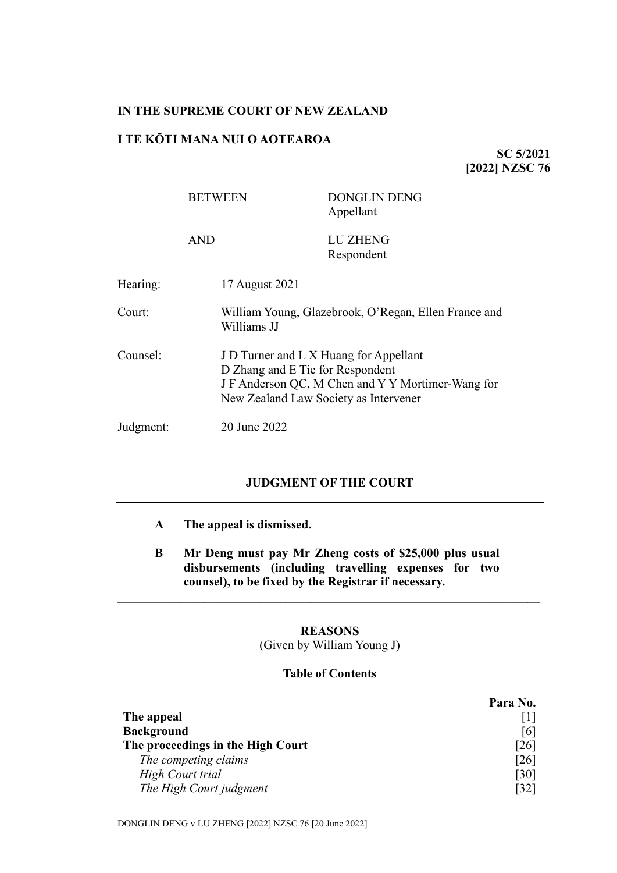## **IN THE SUPREME COURT OF NEW ZEALAND**

## **I TE KŌTI MANA NUI O AOTEAROA**

**SC 5/2021 [2022] NZSC 76**

|           | <b>BETWEEN</b> | <b>DONGLIN DENG</b><br>Appellant                                                                                                                                         |  |
|-----------|----------------|--------------------------------------------------------------------------------------------------------------------------------------------------------------------------|--|
|           | <b>AND</b>     | LU ZHENG<br>Respondent                                                                                                                                                   |  |
| Hearing:  | 17 August 2021 |                                                                                                                                                                          |  |
| Court:    | Williams JJ    | William Young, Glazebrook, O'Regan, Ellen France and                                                                                                                     |  |
| Counsel:  |                | J D Turner and L X Huang for Appellant<br>D Zhang and E Tie for Respondent<br>J F Anderson QC, M Chen and Y Y Mortimer-Wang for<br>New Zealand Law Society as Intervener |  |
| Judgment: | 20 June 2022   |                                                                                                                                                                          |  |

# **JUDGMENT OF THE COURT**

- **A The appeal is dismissed.**
- **B Mr Deng must pay Mr Zheng costs of \$25,000 plus usual disbursements (including travelling expenses for two counsel), to be fixed by the Registrar if necessary.**

\_\_\_\_\_\_\_\_\_\_\_\_\_\_\_\_\_\_\_\_\_\_\_\_\_\_\_\_\_\_\_\_\_\_\_\_\_\_\_\_\_\_\_\_\_\_\_\_\_\_\_\_\_\_\_\_\_\_\_\_\_\_\_\_\_\_\_\_

## **REASONS** (Given by William Young J)

### **Table of Contents**

|                                   | Para No.           |
|-----------------------------------|--------------------|
| The appeal                        |                    |
| <b>Background</b>                 | [6]                |
| The proceedings in the High Court | [26]               |
| The competing claims              | [26]               |
| <b>High Court trial</b>           | $\lceil 30 \rceil$ |
| The High Court judgment           | [32]               |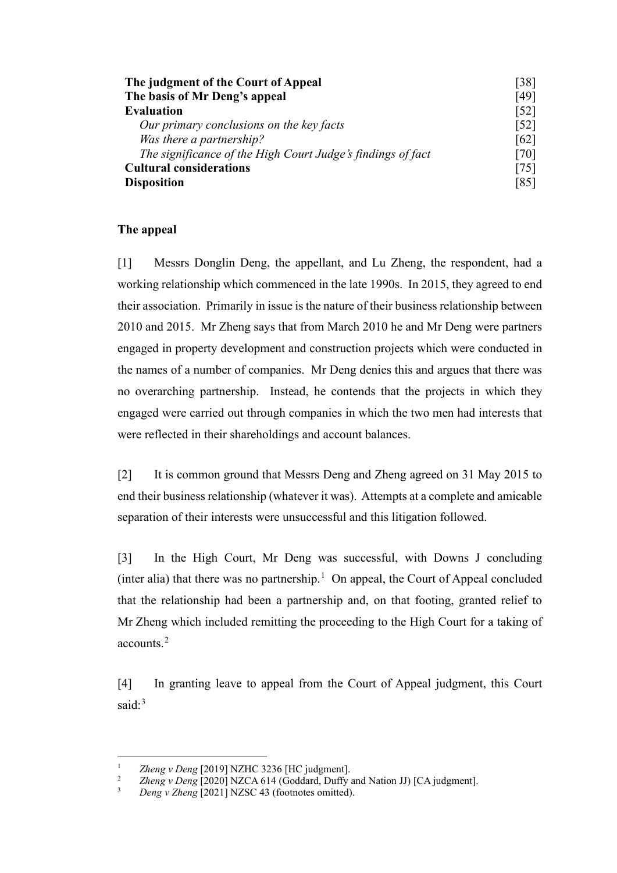| The judgment of the Court of Appeal                         | [38]<br>[49]<br>$\lceil 52 \rceil$ |
|-------------------------------------------------------------|------------------------------------|
| The basis of Mr Deng's appeal                               |                                    |
| <b>Evaluation</b>                                           |                                    |
| Our primary conclusions on the key facts                    | $\lceil 52 \rceil$                 |
| Was there a partnership?                                    | [62]                               |
| The significance of the High Court Judge's findings of fact | [70]                               |
| <b>Cultural considerations</b>                              | [75]                               |
| <b>Disposition</b>                                          | [85]                               |

## **The appeal**

<span id="page-1-0"></span>[1] Messrs Donglin Deng, the appellant, and Lu Zheng, the respondent, had a working relationship which commenced in the late 1990s. In 2015, they agreed to end their association. Primarily in issue is the nature of their business relationship between 2010 and 2015. Mr Zheng says that from March 2010 he and Mr Deng were partners engaged in property development and construction projects which were conducted in the names of a number of companies. Mr Deng denies this and argues that there was no overarching partnership. Instead, he contends that the projects in which they engaged were carried out through companies in which the two men had interests that were reflected in their shareholdings and account balances.

[2] It is common ground that Messrs Deng and Zheng agreed on 31 May 2015 to end their business relationship (whatever it was). Attempts at a complete and amicable separation of their interests were unsuccessful and this litigation followed.

<span id="page-1-5"></span>[3] In the High Court, Mr Deng was successful, with Downs J concluding (inter alia) that there was no partnership.<sup>[1](#page-1-1)</sup> On appeal, the Court of Appeal concluded that the relationship had been a partnership and, on that footing, granted relief to Mr Zheng which included remitting the proceeding to the High Court for a taking of accounts.[2](#page-1-2)

<span id="page-1-4"></span>[4] In granting leave to appeal from the Court of Appeal judgment, this Court said: $3$ 

<span id="page-1-2"></span><span id="page-1-1"></span><sup>&</sup>lt;sup>1</sup> *Zheng v Deng* [2019] NZHC 3236 [HC judgment].<br><sup>2</sup> *Zheng v Deng* [2020] NZC A 614 (Goddard Duffy.

<span id="page-1-3"></span><sup>&</sup>lt;sup>2</sup> *Zheng v Deng* [2020] NZCA 614 (Goddard, Duffy and Nation JJ) [CA judgment].

Deng v Zheng <sup>[2021]</sup> NZSC 43 (footnotes omitted).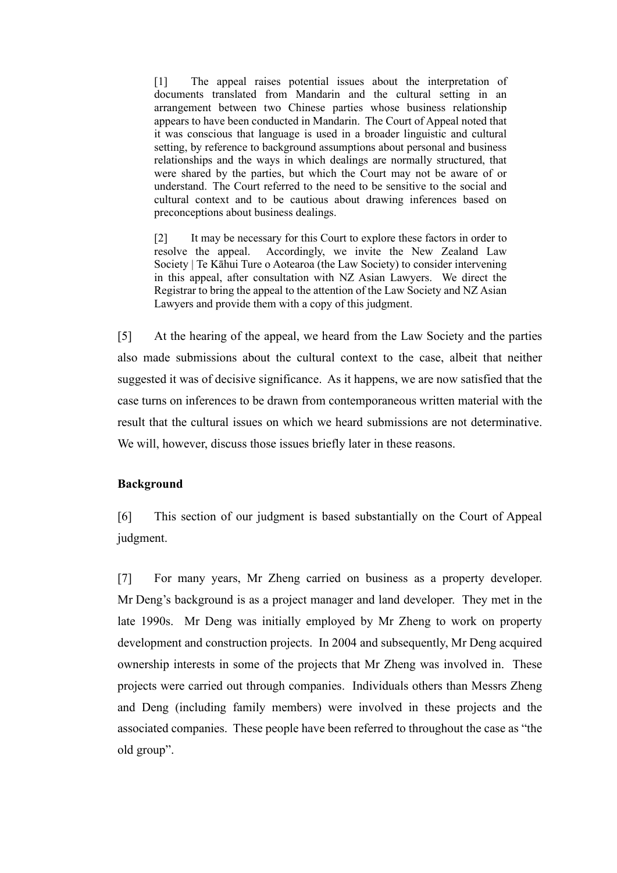[1] The appeal raises potential issues about the interpretation of documents translated from Mandarin and the cultural setting in an arrangement between two Chinese parties whose business relationship appears to have been conducted in Mandarin. The Court of Appeal noted that it was conscious that language is used in a broader linguistic and cultural setting, by reference to background assumptions about personal and business relationships and the ways in which dealings are normally structured, that were shared by the parties, but which the Court may not be aware of or understand. The Court referred to the need to be sensitive to the social and cultural context and to be cautious about drawing inferences based on preconceptions about business dealings.

[2] It may be necessary for this Court to explore these factors in order to resolve the appeal. Accordingly, we invite the New Zealand Law Society | Te Kāhui Ture o Aotearoa (the Law Society) to consider intervening in this appeal, after consultation with NZ Asian Lawyers. We direct the Registrar to bring the appeal to the attention of the Law Society and NZ Asian Lawyers and provide them with a copy of this judgment.

[5] At the hearing of the appeal, we heard from the Law Society and the parties also made submissions about the cultural context to the case, albeit that neither suggested it was of decisive significance. As it happens, we are now satisfied that the case turns on inferences to be drawn from contemporaneous written material with the result that the cultural issues on which we heard submissions are not determinative. We will, however, discuss those issues briefly later in these reasons.

## **Background**

<span id="page-2-0"></span>[6] This section of our judgment is based substantially on the Court of Appeal judgment.

[7] For many years, Mr Zheng carried on business as a property developer. Mr Deng's background is as a project manager and land developer. They met in the late 1990s. Mr Deng was initially employed by Mr Zheng to work on property development and construction projects. In 2004 and subsequently, Mr Deng acquired ownership interests in some of the projects that Mr Zheng was involved in. These projects were carried out through companies. Individuals others than Messrs Zheng and Deng (including family members) were involved in these projects and the associated companies. These people have been referred to throughout the case as "the old group".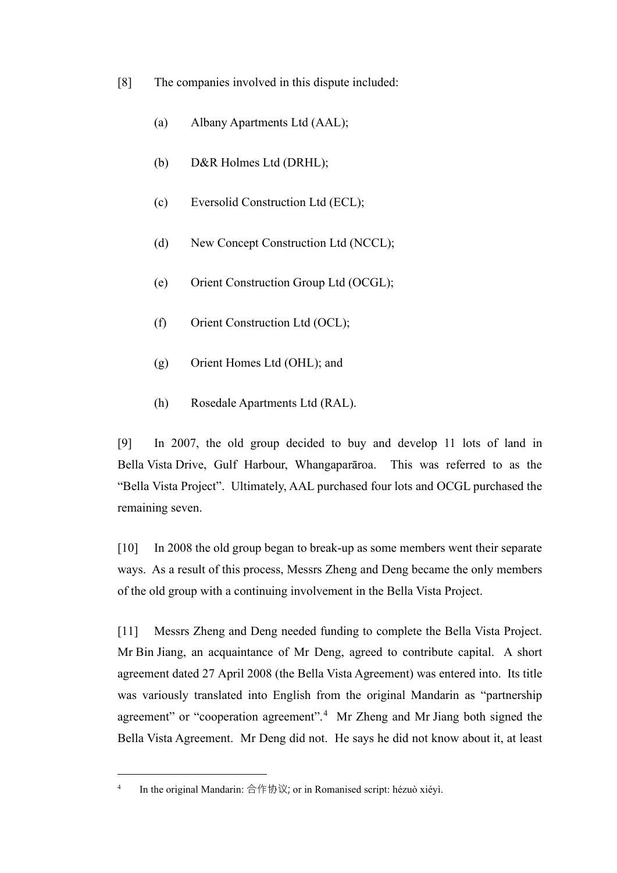- [8] The companies involved in this dispute included:
	- (a) Albany Apartments Ltd (AAL);
	- (b) D&R Holmes Ltd (DRHL);
	- (c) Eversolid Construction Ltd (ECL);
	- (d) New Concept Construction Ltd (NCCL);
	- (e) Orient Construction Group Ltd (OCGL);
	- (f) Orient Construction Ltd (OCL);
	- (g) Orient Homes Ltd (OHL); and
	- (h) Rosedale Apartments Ltd (RAL).

[9] In 2007, the old group decided to buy and develop 11 lots of land in Bella Vista Drive, Gulf Harbour, Whangaparāroa. This was referred to as the "Bella Vista Project". Ultimately, AAL purchased four lots and OCGL purchased the remaining seven.

[10] In 2008 the old group began to break-up as some members went their separate ways. As a result of this process, Messrs Zheng and Deng became the only members of the old group with a continuing involvement in the Bella Vista Project.

[11] Messrs Zheng and Deng needed funding to complete the Bella Vista Project. Mr Bin Jiang, an acquaintance of Mr Deng, agreed to contribute capital. A short agreement dated 27 April 2008 (the Bella Vista Agreement) was entered into. Its title was variously translated into English from the original Mandarin as "partnership agreement" or "cooperation agreement".<sup>[4](#page-3-0)</sup> Mr Zheng and Mr Jiang both signed the Bella Vista Agreement. Mr Deng did not. He says he did not know about it, at least

<span id="page-3-0"></span><sup>&</sup>lt;sup>4</sup> In the original Mandarin: 合作协议; or in Romanised script: hézuò xiéyì.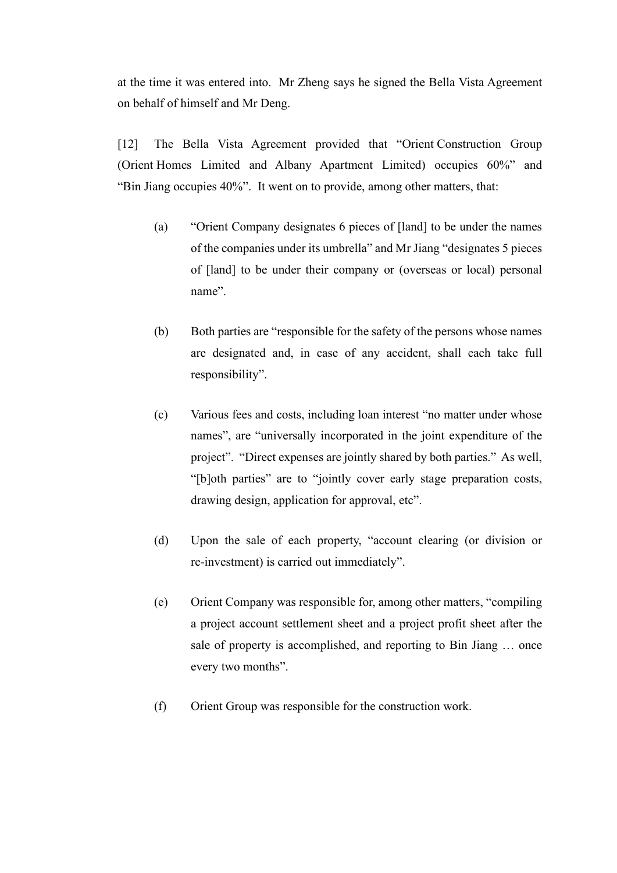at the time it was entered into. Mr Zheng says he signed the Bella Vista Agreement on behalf of himself and Mr Deng.

[12] The Bella Vista Agreement provided that "Orient Construction Group (Orient Homes Limited and Albany Apartment Limited) occupies 60%" and "Bin Jiang occupies 40%". It went on to provide, among other matters, that:

- (a) "Orient Company designates 6 pieces of [land] to be under the names of the companies under its umbrella" and Mr Jiang "designates 5 pieces of [land] to be under their company or (overseas or local) personal name".
- (b) Both parties are "responsible for the safety of the persons whose names are designated and, in case of any accident, shall each take full responsibility".
- (c) Various fees and costs, including loan interest "no matter under whose names", are "universally incorporated in the joint expenditure of the project". "Direct expenses are jointly shared by both parties." As well, "[b]oth parties" are to "jointly cover early stage preparation costs, drawing design, application for approval, etc".
- (d) Upon the sale of each property, "account clearing (or division or re-investment) is carried out immediately".
- (e) Orient Company was responsible for, among other matters, "compiling a project account settlement sheet and a project profit sheet after the sale of property is accomplished, and reporting to Bin Jiang … once every two months".
- (f) Orient Group was responsible for the construction work.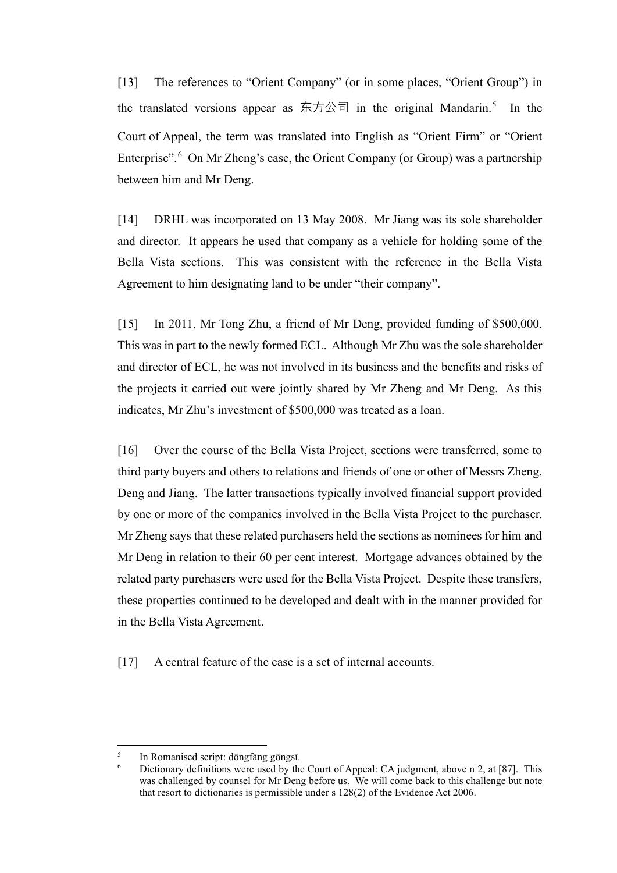[13] The references to "Orient Company" (or in some places, "Orient Group") in the translated versions appear as 东方公司 in the original Mandarin.<sup>[5](#page-5-0)</sup> In the Court of Appeal, the term was translated into English as "Orient Firm" or "Orient Enterprise".<sup>[6](#page-5-1)</sup> On Mr Zheng's case, the Orient Company (or Group) was a partnership between him and Mr Deng.

[14] DRHL was incorporated on 13 May 2008. Mr Jiang was its sole shareholder and director. It appears he used that company as a vehicle for holding some of the Bella Vista sections. This was consistent with the reference in the Bella Vista Agreement to him designating land to be under "their company".

[15] In 2011, Mr Tong Zhu, a friend of Mr Deng, provided funding of \$500,000. This was in part to the newly formed ECL. Although Mr Zhu was the sole shareholder and director of ECL, he was not involved in its business and the benefits and risks of the projects it carried out were jointly shared by Mr Zheng and Mr Deng. As this indicates, Mr Zhu's investment of \$500,000 was treated as a loan.

[16] Over the course of the Bella Vista Project, sections were transferred, some to third party buyers and others to relations and friends of one or other of Messrs Zheng, Deng and Jiang. The latter transactions typically involved financial support provided by one or more of the companies involved in the Bella Vista Project to the purchaser. Mr Zheng says that these related purchasers held the sections as nominees for him and Mr Deng in relation to their 60 per cent interest. Mortgage advances obtained by the related party purchasers were used for the Bella Vista Project. Despite these transfers, these properties continued to be developed and dealt with in the manner provided for in the Bella Vista Agreement.

[17] A central feature of the case is a set of internal accounts.

<span id="page-5-1"></span><span id="page-5-0"></span><sup>5</sup> In Romanised script: dōngfāng gōngsī.

<sup>6</sup> Dictionary definitions were used by the Court of Appeal: CA judgment, above [n 2,](#page-1-4) at [87]. This was challenged by counsel for Mr Deng before us. We will come back to this challenge but note that resort to dictionaries is permissible under s 128(2) of the Evidence Act 2006.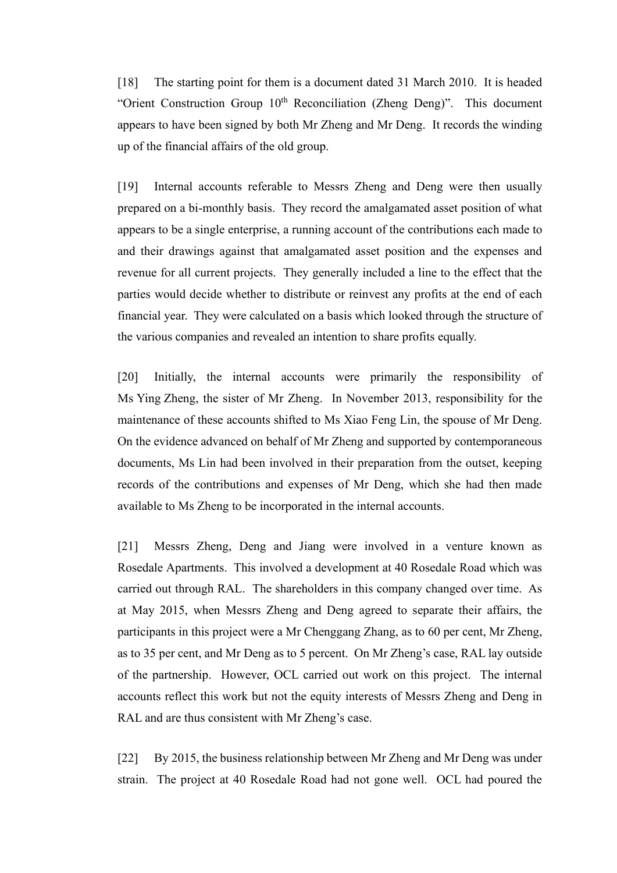[18] The starting point for them is a document dated 31 March 2010. It is headed "Orient Construction Group  $10<sup>th</sup>$  Reconciliation (Zheng Deng)". This document appears to have been signed by both Mr Zheng and Mr Deng. It records the winding up of the financial affairs of the old group.

[19] Internal accounts referable to Messrs Zheng and Deng were then usually prepared on a bi-monthly basis. They record the amalgamated asset position of what appears to be a single enterprise, a running account of the contributions each made to and their drawings against that amalgamated asset position and the expenses and revenue for all current projects. They generally included a line to the effect that the parties would decide whether to distribute or reinvest any profits at the end of each financial year. They were calculated on a basis which looked through the structure of the various companies and revealed an intention to share profits equally.

[20] Initially, the internal accounts were primarily the responsibility of Ms Ying Zheng, the sister of Mr Zheng. In November 2013, responsibility for the maintenance of these accounts shifted to Ms Xiao Feng Lin, the spouse of Mr Deng. On the evidence advanced on behalf of Mr Zheng and supported by contemporaneous documents, Ms Lin had been involved in their preparation from the outset, keeping records of the contributions and expenses of Mr Deng, which she had then made available to Ms Zheng to be incorporated in the internal accounts.

[21] Messrs Zheng, Deng and Jiang were involved in a venture known as Rosedale Apartments. This involved a development at 40 Rosedale Road which was carried out through RAL. The shareholders in this company changed over time. As at May 2015, when Messrs Zheng and Deng agreed to separate their affairs, the participants in this project were a Mr Chenggang Zhang, as to 60 per cent, Mr Zheng, as to 35 per cent, and Mr Deng as to 5 percent. On Mr Zheng's case, RAL lay outside of the partnership. However, OCL carried out work on this project. The internal accounts reflect this work but not the equity interests of Messrs Zheng and Deng in RAL and are thus consistent with Mr Zheng's case.

[22] By 2015, the business relationship between Mr Zheng and Mr Deng was under strain. The project at 40 Rosedale Road had not gone well. OCL had poured the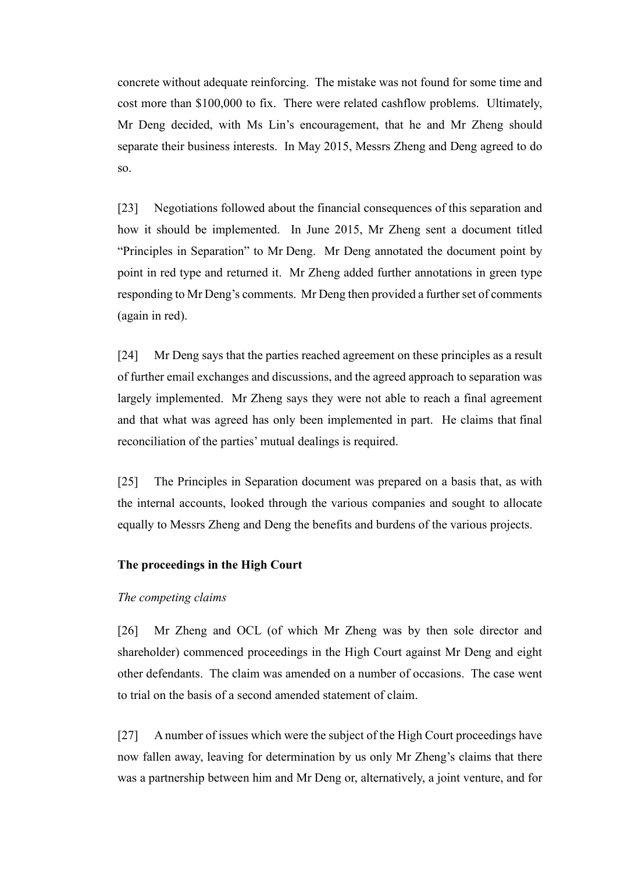concrete without adequate reinforcing. The mistake was not found for some time and cost more than \$100,000 to fix. There were related cashflow problems. Ultimately, Mr Deng decided, with Ms Lin's encouragement, that he and Mr Zheng should separate their business interests. In May 2015, Messrs Zheng and Deng agreed to do so.

[23] Negotiations followed about the financial consequences of this separation and how it should be implemented. In June 2015, Mr Zheng sent a document titled "Principles in Separation" to Mr Deng. Mr Deng annotated the document point by point in red type and returned it. Mr Zheng added further annotations in green type responding to Mr Deng's comments. Mr Deng then provided a further set of comments (again in red).

[24] Mr Deng says that the parties reached agreement on these principles as a result of further email exchanges and discussions, and the agreed approach to separation was largely implemented. Mr Zheng says they were not able to reach a final agreement and that what was agreed has only been implemented in part. He claims that final reconciliation of the parties' mutual dealings is required.

[25] The Principles in Separation document was prepared on a basis that, as with the internal accounts, looked through the various companies and sought to allocate equally to Messrs Zheng and Deng the benefits and burdens of the various projects.

### **The proceedings in the High Court**

### *The competing claims*

<span id="page-7-0"></span>[26] Mr Zheng and OCL (of which Mr Zheng was by then sole director and shareholder) commenced proceedings in the High Court against Mr Deng and eight other defendants. The claim was amended on a number of occasions. The case went to trial on the basis of a second amended statement of claim.

[27] A number of issues which were the subject of the High Court proceedings have now fallen away, leaving for determination by us only Mr Zheng's claims that there was a partnership between him and Mr Deng or, alternatively, a joint venture, and for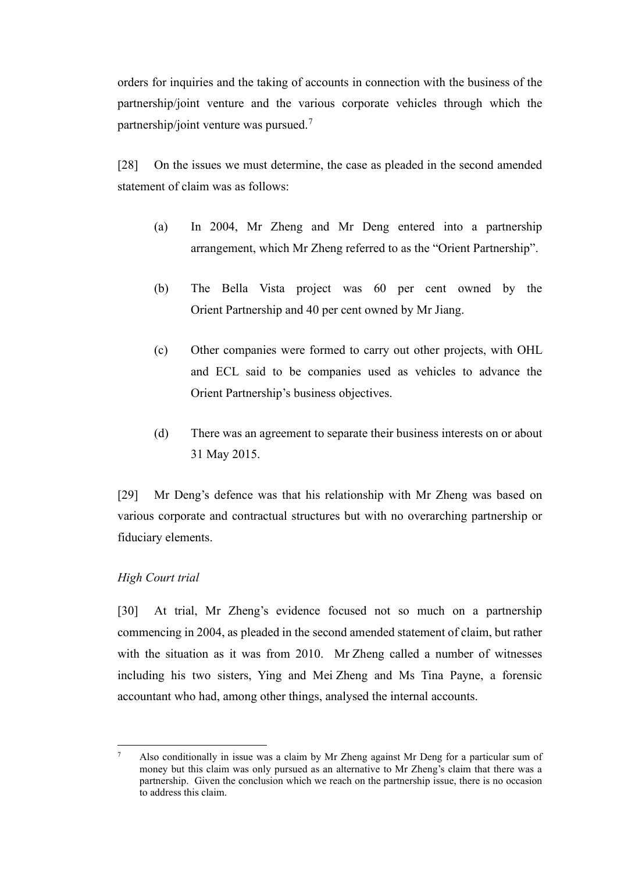orders for inquiries and the taking of accounts in connection with the business of the partnership/joint venture and the various corporate vehicles through which the partnership/joint venture was pursued.<sup>[7](#page-8-1)</sup>

[28] On the issues we must determine, the case as pleaded in the second amended statement of claim was as follows:

- (a) In 2004, Mr Zheng and Mr Deng entered into a partnership arrangement, which Mr Zheng referred to as the "Orient Partnership".
- (b) The Bella Vista project was 60 per cent owned by the Orient Partnership and 40 per cent owned by Mr Jiang.
- (c) Other companies were formed to carry out other projects, with OHL and ECL said to be companies used as vehicles to advance the Orient Partnership's business objectives.
- (d) There was an agreement to separate their business interests on or about 31 May 2015.

[29] Mr Deng's defence was that his relationship with Mr Zheng was based on various corporate and contractual structures but with no overarching partnership or fiduciary elements.

## *High Court trial*

<span id="page-8-0"></span>[30] At trial, Mr Zheng's evidence focused not so much on a partnership commencing in 2004, as pleaded in the second amended statement of claim, but rather with the situation as it was from 2010. Mr Zheng called a number of witnesses including his two sisters, Ying and Mei Zheng and Ms Tina Payne, a forensic accountant who had, among other things, analysed the internal accounts.

<span id="page-8-1"></span><sup>7</sup> Also conditionally in issue was a claim by Mr Zheng against Mr Deng for a particular sum of money but this claim was only pursued as an alternative to Mr Zheng's claim that there was a partnership. Given the conclusion which we reach on the partnership issue, there is no occasion to address this claim.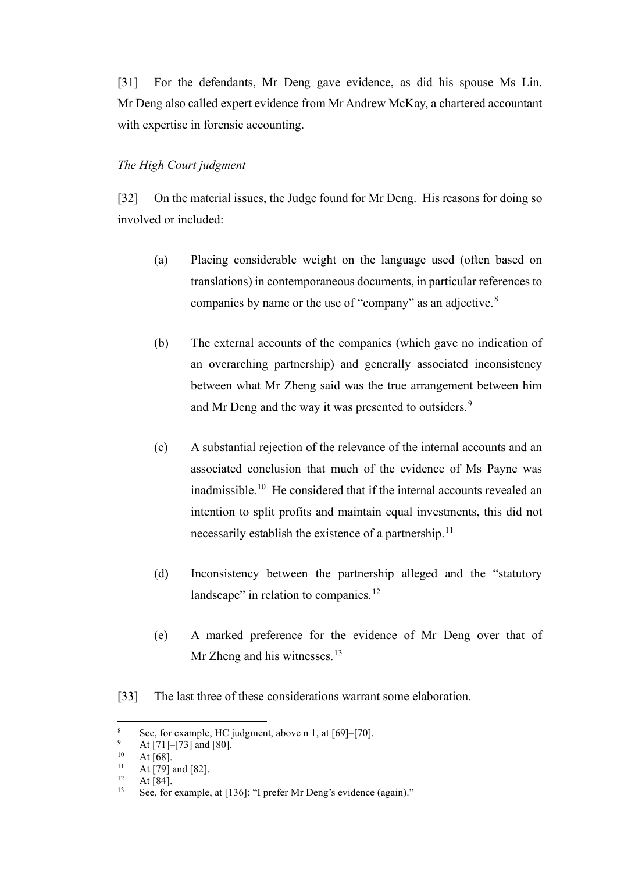[31] For the defendants, Mr Deng gave evidence, as did his spouse Ms Lin. Mr Deng also called expert evidence from Mr Andrew McKay, a chartered accountant with expertise in forensic accounting.

#### *The High Court judgment*

<span id="page-9-0"></span>[32] On the material issues, the Judge found for Mr Deng. His reasons for doing so involved or included:

- (a) Placing considerable weight on the language used (often based on translations) in contemporaneous documents, in particular references to companies by name or the use of "company" as an adjective.[8](#page-9-1)
- (b) The external accounts of the companies (which gave no indication of an overarching partnership) and generally associated inconsistency between what Mr Zheng said was the true arrangement between him and Mr Deng and the way it was presented to outsiders.<sup>[9](#page-9-2)</sup>
- (c) A substantial rejection of the relevance of the internal accounts and an associated conclusion that much of the evidence of Ms Payne was inadmissible.<sup>10</sup> He considered that if the internal accounts revealed an intention to split profits and maintain equal investments, this did not necessarily establish the existence of a partnership.<sup>[11](#page-9-4)</sup>
- (d) Inconsistency between the partnership alleged and the "statutory landscape" in relation to companies.<sup>[12](#page-9-5)</sup>
- (e) A marked preference for the evidence of Mr Deng over that of Mr Zheng and his witnesses. $13$
- [33] The last three of these considerations warrant some elaboration.

<span id="page-9-1"></span><sup>&</sup>lt;sup>8</sup> See, for example, HC judgment, above n [1,](#page-1-5) at  $[69]$ – $[70]$ .

<span id="page-9-2"></span> $^{9}$  At [71]–[73] and [80].

<span id="page-9-3"></span> $10$  At [68].

<span id="page-9-4"></span><sup>&</sup>lt;sup>11</sup> At [79] and [82].

<span id="page-9-6"></span><span id="page-9-5"></span> $12 \text{ At [84]}$ .<br>  $13 \text{ See for}$ 

See, for example, at [136]: "I prefer Mr Deng's evidence (again)."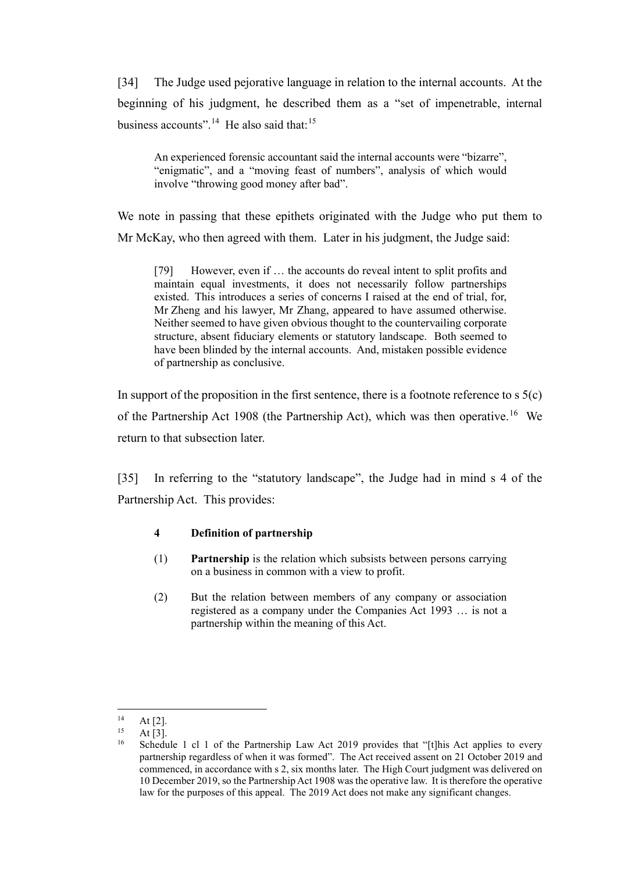[34] The Judge used pejorative language in relation to the internal accounts. At the beginning of his judgment, he described them as a "set of impenetrable, internal business accounts".<sup>14</sup> He also said that:<sup>15</sup>

An experienced forensic accountant said the internal accounts were "bizarre", "enigmatic", and a "moving feast of numbers", analysis of which would involve "throwing good money after bad".

We note in passing that these epithets originated with the Judge who put them to Mr McKay, who then agreed with them. Later in his judgment, the Judge said:

[79] However, even if ... the accounts do reveal intent to split profits and maintain equal investments, it does not necessarily follow partnerships existed. This introduces a series of concerns I raised at the end of trial, for, Mr Zheng and his lawyer, Mr Zhang, appeared to have assumed otherwise. Neither seemed to have given obvious thought to the countervailing corporate structure, absent fiduciary elements or statutory landscape. Both seemed to have been blinded by the internal accounts. And, mistaken possible evidence of partnership as conclusive.

In support of the proposition in the first sentence, there is a footnote reference to  $s \, 5(c)$ of the Partnership Act 1908 (the Partnership Act), which was then operative.<sup>16</sup> We return to that subsection later.

[35] In referring to the "statutory landscape", the Judge had in mind s 4 of the Partnership Act. This provides:

## **4 Definition of partnership**

- (1) **Partnership** is the relation which subsists between persons carrying on a business in common with a view to profit.
- (2) But the relation between members of any company or association registered as a company under the [Companies Act 1993](https://www.legislation.govt.nz/act/public/1908/0139/latest/link.aspx?id=DLM319569) … is not a partnership within the meaning of this Act.

<span id="page-10-0"></span> $14$  At [2].<br>  $15$  At [3].

<span id="page-10-2"></span><span id="page-10-1"></span><sup>&</sup>lt;sup>16</sup> Schedule 1 cl 1 of the Partnership Law Act 2019 provides that "[t]his Act applies to every partnership regardless of when it was formed". The Act received assent on 21 October 2019 and commenced, in accordance with s 2, six months later. The High Court judgment was delivered on 10 December 2019, so the Partnership Act 1908 was the operative law. It is therefore the operative law for the purposes of this appeal. The 2019 Act does not make any significant changes.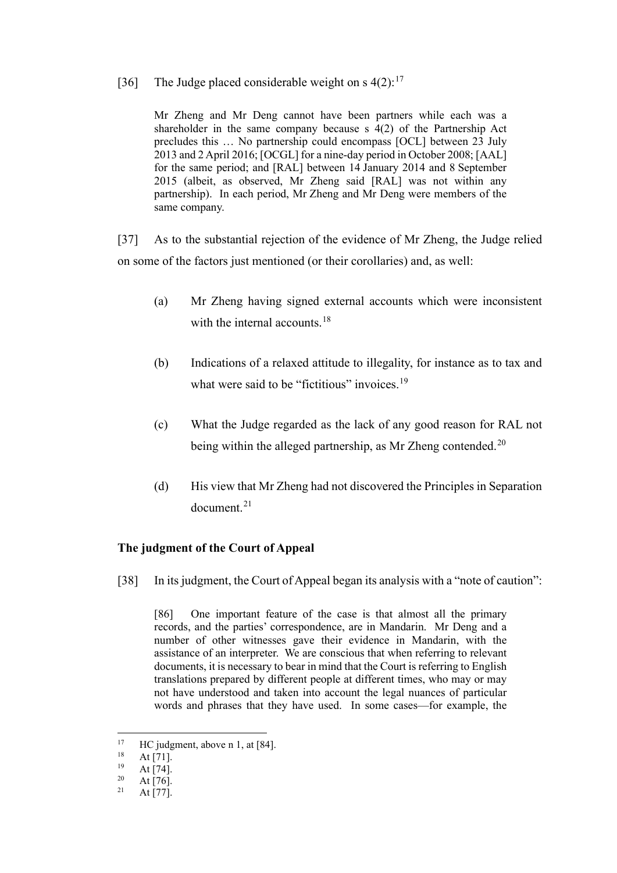### [36] The Judge placed considerable weight on s  $4(2)$ :<sup>[17](#page-11-1)</sup>

Mr Zheng and Mr Deng cannot have been partners while each was a shareholder in the same company because s 4(2) of the Partnership Act precludes this … No partnership could encompass [OCL] between 23 July 2013 and 2 April 2016; [OCGL] for a nine-day period in October 2008; [AAL] for the same period; and [RAL] between 14 January 2014 and 8 September 2015 (albeit, as observed, Mr Zheng said [RAL] was not within any partnership). In each period, Mr Zheng and Mr Deng were members of the same company.

[37] As to the substantial rejection of the evidence of Mr Zheng, the Judge relied on some of the factors just mentioned (or their corollaries) and, as well:

- (a) Mr Zheng having signed external accounts which were inconsistent with the internal accounts.<sup>[18](#page-11-2)</sup>
- (b) Indications of a relaxed attitude to illegality, for instance as to tax and what were said to be "fictitious" invoices.<sup>[19](#page-11-3)</sup>
- (c) What the Judge regarded as the lack of any good reason for RAL not being within the alleged partnership, as Mr Zheng contended.<sup>[20](#page-11-4)</sup>
- (d) His view that Mr Zheng had not discovered the Principles in Separation document.<sup>[21](#page-11-5)</sup>

## **The judgment of the Court of Appeal**

<span id="page-11-0"></span>[38] In its judgment, the Court of Appeal began its analysis with a "note of caution":

[86] One important feature of the case is that almost all the primary records, and the parties' correspondence, are in Mandarin. Mr Deng and a number of other witnesses gave their evidence in Mandarin, with the assistance of an interpreter. We are conscious that when referring to relevant documents, it is necessary to bear in mind that the Court is referring to English translations prepared by different people at different times, who may or may not have understood and taken into account the legal nuances of particular words and phrases that they have used. In some cases—for example, the

<span id="page-11-1"></span><sup>&</sup>lt;sup>17</sup> HC judgment, above [n 1,](#page-1-5) at [84].

 $18$  At [71].

<span id="page-11-3"></span><span id="page-11-2"></span> $19$  At [74].

<span id="page-11-5"></span><span id="page-11-4"></span> $\frac{20}{21}$  At [76].

At  $[77]$ .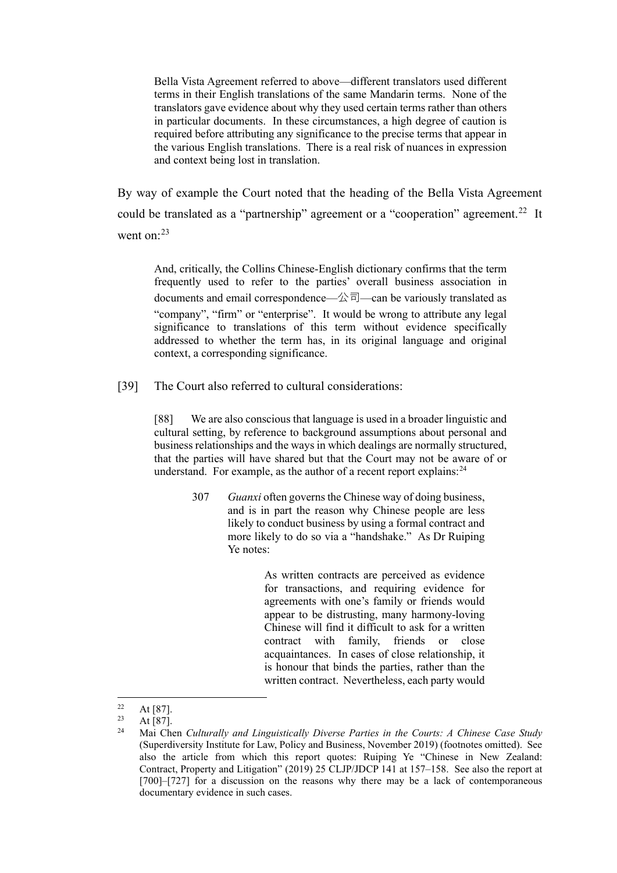Bella Vista Agreement referred to above—different translators used different terms in their English translations of the same Mandarin terms. None of the translators gave evidence about why they used certain terms rather than others in particular documents. In these circumstances, a high degree of caution is required before attributing any significance to the precise terms that appear in the various English translations. There is a real risk of nuances in expression and context being lost in translation.

By way of example the Court noted that the heading of the Bella Vista Agreement could be translated as a "partnership" agreement or a "cooperation" agreement.<sup>22</sup> It went on: $^{23}$  $^{23}$  $^{23}$ 

And, critically, the Collins Chinese-English dictionary confirms that the term frequently used to refer to the parties' overall business association in documents and email correspondence—公司—can be variously translated as "company", "firm" or "enterprise". It would be wrong to attribute any legal significance to translations of this term without evidence specifically addressed to whether the term has, in its original language and original context, a corresponding significance.

[39] The Court also referred to cultural considerations:

[88] We are also conscious that language is used in a broader linguistic and cultural setting, by reference to background assumptions about personal and business relationships and the ways in which dealings are normally structured, that the parties will have shared but that the Court may not be aware of or understand. For example, as the author of a recent report explains: $^{24}$ 

> 307 *Guanxi* often governs the Chinese way of doing business, and is in part the reason why Chinese people are less likely to conduct business by using a formal contract and more likely to do so via a "handshake." As Dr Ruiping Ye notes:

> > As written contracts are perceived as evidence for transactions, and requiring evidence for agreements with one's family or friends would appear to be distrusting, many harmony-loving Chinese will find it difficult to ask for a written contract with family, friends or close acquaintances. In cases of close relationship, it is honour that binds the parties, rather than the written contract. Nevertheless, each party would

<span id="page-12-1"></span><span id="page-12-0"></span> $22$  At [87].

<span id="page-12-2"></span><sup>23</sup> At [87]. 24 Mai Chen *Culturally and Linguistically Diverse Parties in the Courts: A Chinese Case Study* (Superdiversity Institute for Law, Policy and Business, November 2019) (footnotes omitted). See also the article from which this report quotes: Ruiping Ye "Chinese in New Zealand: Contract, Property and Litigation" (2019) 25 CLJP/JDCP 141 at 157–158. See also the report at [700]–[727] for a discussion on the reasons why there may be a lack of contemporaneous documentary evidence in such cases.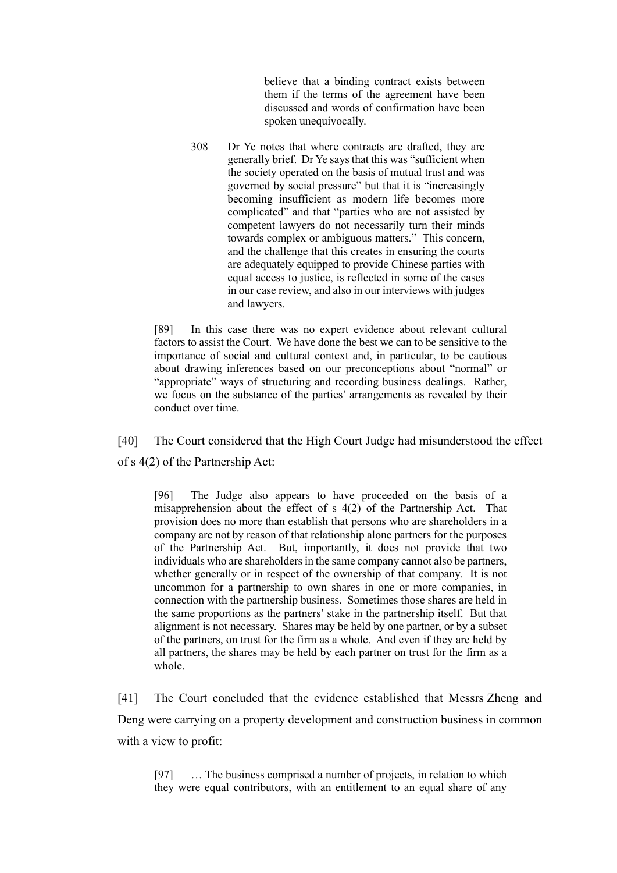believe that a binding contract exists between them if the terms of the agreement have been discussed and words of confirmation have been spoken unequivocally.

308 Dr Ye notes that where contracts are drafted, they are generally brief. Dr Ye says that this was "sufficient when the society operated on the basis of mutual trust and was governed by social pressure" but that it is "increasingly becoming insufficient as modern life becomes more complicated" and that "parties who are not assisted by competent lawyers do not necessarily turn their minds towards complex or ambiguous matters." This concern, and the challenge that this creates in ensuring the courts are adequately equipped to provide Chinese parties with equal access to justice, is reflected in some of the cases in our case review, and also in our interviews with judges and lawyers.

[89] In this case there was no expert evidence about relevant cultural factors to assist the Court. We have done the best we can to be sensitive to the importance of social and cultural context and, in particular, to be cautious about drawing inferences based on our preconceptions about "normal" or "appropriate" ways of structuring and recording business dealings. Rather, we focus on the substance of the parties' arrangements as revealed by their conduct over time.

[40] The Court considered that the High Court Judge had misunderstood the effect of s 4(2) of the Partnership Act:

[96] The Judge also appears to have proceeded on the basis of a misapprehension about the effect of s 4(2) of the Partnership Act. That provision does no more than establish that persons who are shareholders in a company are not by reason of that relationship alone partners for the purposes of the Partnership Act. But, importantly, it does not provide that two individuals who are shareholders in the same company cannot also be partners, whether generally or in respect of the ownership of that company. It is not uncommon for a partnership to own shares in one or more companies, in connection with the partnership business. Sometimes those shares are held in the same proportions as the partners' stake in the partnership itself. But that alignment is not necessary. Shares may be held by one partner, or by a subset of the partners, on trust for the firm as a whole. And even if they are held by all partners, the shares may be held by each partner on trust for the firm as a whole.

[41] The Court concluded that the evidence established that Messrs Zheng and Deng were carrying on a property development and construction business in common with a view to profit:

[97] ... The business comprised a number of projects, in relation to which they were equal contributors, with an entitlement to an equal share of any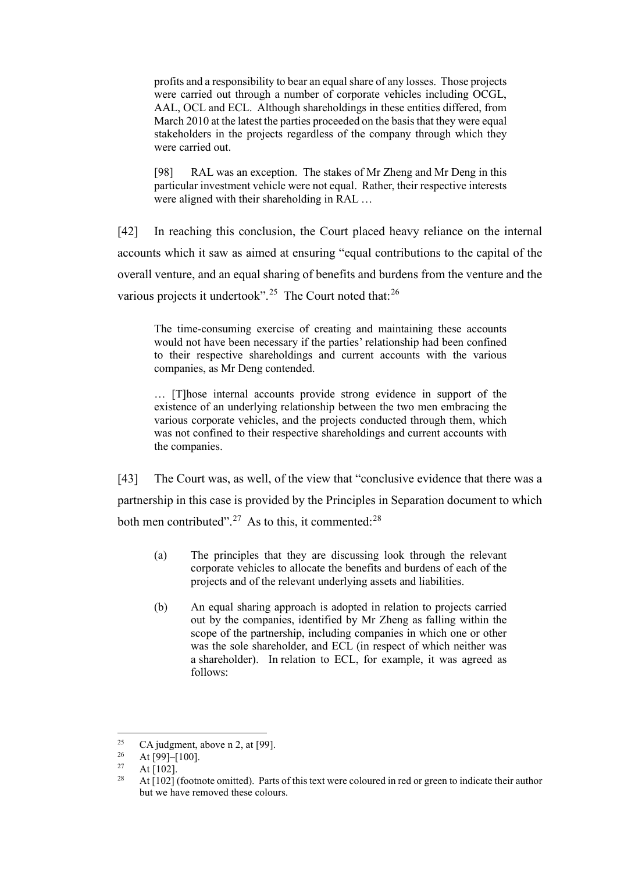profits and a responsibility to bear an equal share of any losses. Those projects were carried out through a number of corporate vehicles including OCGL, AAL, OCL and ECL. Although shareholdings in these entities differed, from March 2010 at the latest the parties proceeded on the basis that they were equal stakeholders in the projects regardless of the company through which they were carried out.

[98] RAL was an exception. The stakes of Mr Zheng and Mr Deng in this particular investment vehicle were not equal. Rather, their respective interests were aligned with their shareholding in RAL …

[42] In reaching this conclusion, the Court placed heavy reliance on the internal accounts which it saw as aimed at ensuring "equal contributions to the capital of the overall venture, and an equal sharing of benefits and burdens from the venture and the various projects it undertook".<sup>[25](#page-14-0)</sup> The Court noted that:<sup>[26](#page-14-1)</sup>

The time-consuming exercise of creating and maintaining these accounts would not have been necessary if the parties' relationship had been confined to their respective shareholdings and current accounts with the various companies, as Mr Deng contended.

… [T]hose internal accounts provide strong evidence in support of the existence of an underlying relationship between the two men embracing the various corporate vehicles, and the projects conducted through them, which was not confined to their respective shareholdings and current accounts with the companies.

[43] The Court was, as well, of the view that "conclusive evidence that there was a partnership in this case is provided by the Principles in Separation document to which both men contributed".<sup>[27](#page-14-2)</sup> As to this, it commented:<sup>[28](#page-14-3)</sup>

- (a) The principles that they are discussing look through the relevant corporate vehicles to allocate the benefits and burdens of each of the projects and of the relevant underlying assets and liabilities.
- (b) An equal sharing approach is adopted in relation to projects carried out by the companies, identified by Mr Zheng as falling within the scope of the partnership, including companies in which one or other was the sole shareholder, and ECL (in respect of which neither was a shareholder). In relation to ECL, for example, it was agreed as follows:

<span id="page-14-0"></span><sup>&</sup>lt;sup>25</sup> CA judgment, above n [2,](#page-1-4) at [99].<br><sup>26</sup> A t [99]–[100]

<span id="page-14-1"></span> $\frac{26}{27}$  At [99]–[100].

<span id="page-14-3"></span><span id="page-14-2"></span> $\frac{27}{28}$  At [102].

<sup>28</sup> At [102] (footnote omitted). Parts of this text were coloured in red or green to indicate their author but we have removed these colours.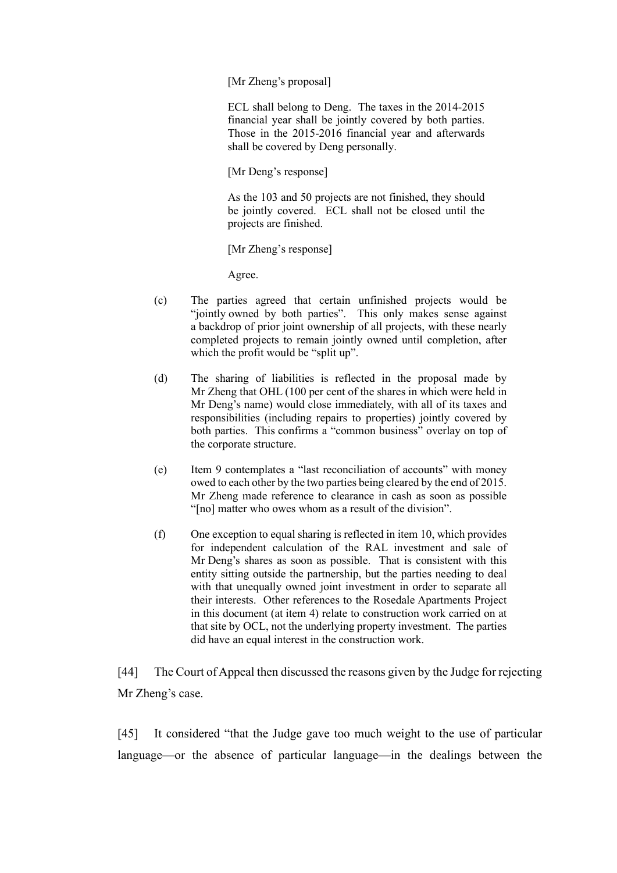[Mr Zheng's proposal]

ECL shall belong to Deng. The taxes in the 2014-2015 financial year shall be jointly covered by both parties. Those in the 2015-2016 financial year and afterwards shall be covered by Deng personally.

[Mr Deng's response]

As the 103 and 50 projects are not finished, they should be jointly covered. ECL shall not be closed until the projects are finished.

[Mr Zheng's response]

Agree.

- (c) The parties agreed that certain unfinished projects would be "jointly owned by both parties". This only makes sense against a backdrop of prior joint ownership of all projects, with these nearly completed projects to remain jointly owned until completion, after which the profit would be "split up".
- (d) The sharing of liabilities is reflected in the proposal made by Mr Zheng that OHL (100 per cent of the shares in which were held in Mr Deng's name) would close immediately, with all of its taxes and responsibilities (including repairs to properties) jointly covered by both parties. This confirms a "common business" overlay on top of the corporate structure.
- (e) Item 9 contemplates a "last reconciliation of accounts" with money owed to each other by the two parties being cleared by the end of 2015. Mr Zheng made reference to clearance in cash as soon as possible "[no] matter who owes whom as a result of the division".
- (f) One exception to equal sharing is reflected in item 10, which provides for independent calculation of the RAL investment and sale of Mr Deng's shares as soon as possible. That is consistent with this entity sitting outside the partnership, but the parties needing to deal with that unequally owned joint investment in order to separate all their interests. Other references to the Rosedale Apartments Project in this document (at item 4) relate to construction work carried on at that site by OCL, not the underlying property investment. The parties did have an equal interest in the construction work.

[44] The Court of Appeal then discussed the reasons given by the Judge for rejecting Mr Zheng's case.

[45] It considered "that the Judge gave too much weight to the use of particular language—or the absence of particular language—in the dealings between the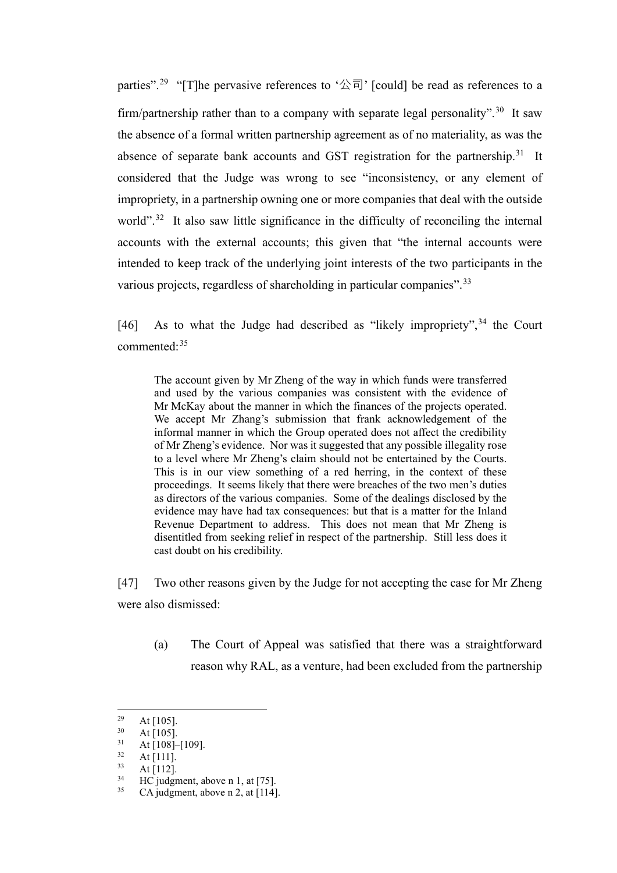parties".<sup>[29](#page-16-0)</sup> "[T]he pervasive references to '公司' [could] be read as references to a firm/partnership rather than to a company with separate legal personality".<sup>[30](#page-16-1)</sup> It saw the absence of a formal written partnership agreement as of no materiality, as was the absence of separate bank accounts and GST registration for the partnership.<sup>31</sup> It considered that the Judge was wrong to see "inconsistency, or any element of impropriety, in a partnership owning one or more companies that deal with the outside world".<sup>[32](#page-16-3)</sup> It also saw little significance in the difficulty of reconciling the internal accounts with the external accounts; this given that "the internal accounts were intended to keep track of the underlying joint interests of the two participants in the various projects, regardless of shareholding in particular companies".<sup>[33](#page-16-4)</sup>

[46] As to what the Judge had described as "likely impropriety",<sup>[34](#page-16-5)</sup> the Court commented:[35](#page-16-6)

The account given by Mr Zheng of the way in which funds were transferred and used by the various companies was consistent with the evidence of Mr McKay about the manner in which the finances of the projects operated. We accept Mr Zhang's submission that frank acknowledgement of the informal manner in which the Group operated does not affect the credibility of Mr Zheng's evidence. Nor was it suggested that any possible illegality rose to a level where Mr Zheng's claim should not be entertained by the Courts. This is in our view something of a red herring, in the context of these proceedings. It seems likely that there were breaches of the two men's duties as directors of the various companies. Some of the dealings disclosed by the evidence may have had tax consequences: but that is a matter for the Inland Revenue Department to address. This does not mean that Mr Zheng is disentitled from seeking relief in respect of the partnership. Still less does it cast doubt on his credibility.

[47] Two other reasons given by the Judge for not accepting the case for Mr Zheng were also dismissed:

(a) The Court of Appeal was satisfied that there was a straightforward reason why RAL, as a venture, had been excluded from the partnership

<span id="page-16-0"></span> $\frac{29}{30}$  At [105].

<span id="page-16-1"></span> $\frac{30}{31}$  At [105].

<span id="page-16-2"></span> $\frac{31}{32}$  At [108]–[109].

<span id="page-16-3"></span> $\frac{32}{33}$  At [111].

 $33$  At [112].

<span id="page-16-6"></span><span id="page-16-5"></span><span id="page-16-4"></span><sup>&</sup>lt;sup>34</sup> HC judgment, above [n 1,](#page-1-5) at [75].<br> $\frac{35}{2}$  CA judgment, above n 2, at [114]

CA judgment, above n [2,](#page-1-4) at  $[114]$ .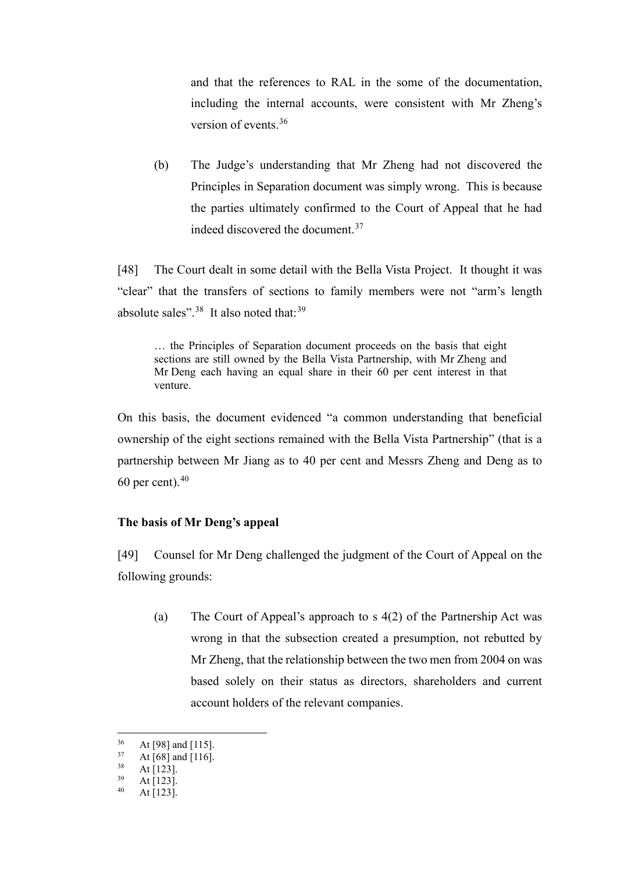and that the references to RAL in the some of the documentation, including the internal accounts, were consistent with Mr Zheng's version of events.[36](#page-17-1)

(b) The Judge's understanding that Mr Zheng had not discovered the Principles in Separation document was simply wrong. This is because the parties ultimately confirmed to the Court of Appeal that he had indeed discovered the document.<sup>[37](#page-17-2)</sup>

[48] The Court dealt in some detail with the Bella Vista Project. It thought it was "clear" that the transfers of sections to family members were not "arm's length absolute sales". $38$  It also noted that:  $39$ 

… the Principles of Separation document proceeds on the basis that eight sections are still owned by the Bella Vista Partnership, with Mr Zheng and Mr Deng each having an equal share in their 60 per cent interest in that venture.

On this basis, the document evidenced "a common understanding that beneficial ownership of the eight sections remained with the Bella Vista Partnership" (that is a partnership between Mr Jiang as to 40 per cent and Messrs Zheng and Deng as to 60 per cent). $40$ 

## **The basis of Mr Deng's appeal**

<span id="page-17-0"></span>[49] Counsel for Mr Deng challenged the judgment of the Court of Appeal on the following grounds:

(a) The Court of Appeal's approach to s  $4(2)$  of the Partnership Act was wrong in that the subsection created a presumption, not rebutted by Mr Zheng, that the relationship between the two men from 2004 on was based solely on their status as directors, shareholders and current account holders of the relevant companies.

<span id="page-17-1"></span> $36$  At [98] and [115].<br> $37$  At [68] and [116]

<span id="page-17-2"></span> $37 \text{ At } [68] \text{ and } [116].$ <br> $38 \text{ At } [1231]$ 

<span id="page-17-3"></span> $38$  At [123].

<span id="page-17-5"></span><span id="page-17-4"></span> $39$  At [123].

At [123].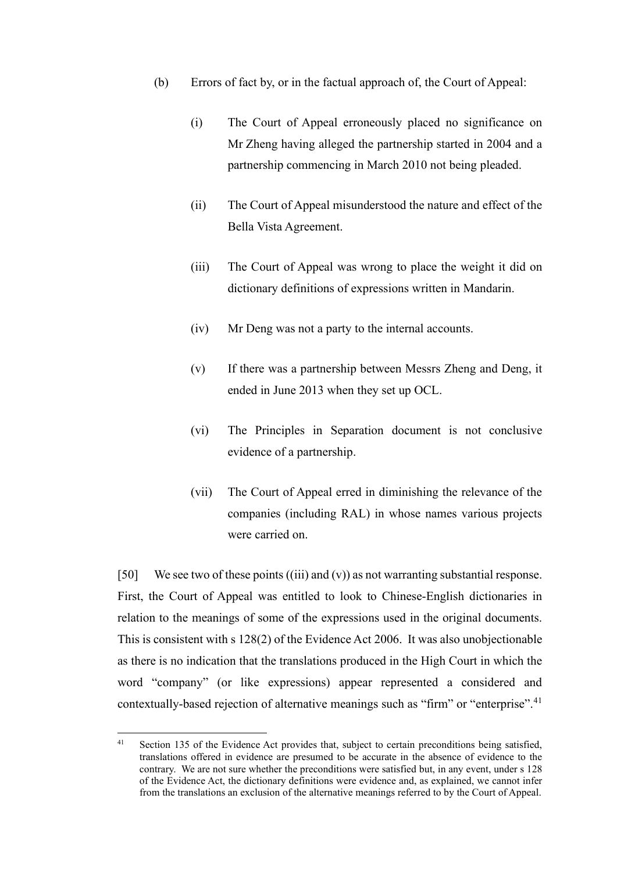- (b) Errors of fact by, or in the factual approach of, the Court of Appeal:
	- (i) The Court of Appeal erroneously placed no significance on Mr Zheng having alleged the partnership started in 2004 and a partnership commencing in March 2010 not being pleaded.
	- (ii) The Court of Appeal misunderstood the nature and effect of the Bella Vista Agreement.
	- (iii) The Court of Appeal was wrong to place the weight it did on dictionary definitions of expressions written in Mandarin.
	- (iv) Mr Deng was not a party to the internal accounts.
	- (v) If there was a partnership between Messrs Zheng and Deng, it ended in June 2013 when they set up OCL.
	- (vi) The Principles in Separation document is not conclusive evidence of a partnership.
	- (vii) The Court of Appeal erred in diminishing the relevance of the companies (including RAL) in whose names various projects were carried on.

<span id="page-18-1"></span>[50] We see two of these points  $(iii)$  and  $(v)$ ) as not warranting substantial response. First, the Court of Appeal was entitled to look to Chinese-English dictionaries in relation to the meanings of some of the expressions used in the original documents. This is consistent with s 128(2) of the Evidence Act 2006. It was also unobjectionable as there is no indication that the translations produced in the High Court in which the word "company" (or like expressions) appear represented a considered and contextually-based rejection of alternative meanings such as "firm" or "enterprise".<sup>[41](#page-18-0)</sup>

<span id="page-18-2"></span><span id="page-18-0"></span><sup>&</sup>lt;sup>41</sup> Section 135 of the Evidence Act provides that, subject to certain preconditions being satisfied, translations offered in evidence are presumed to be accurate in the absence of evidence to the contrary. We are not sure whether the preconditions were satisfied but, in any event, under s 128 of the Evidence Act, the dictionary definitions were evidence and, as explained, we cannot infer from the translations an exclusion of the alternative meanings referred to by the Court of Appeal.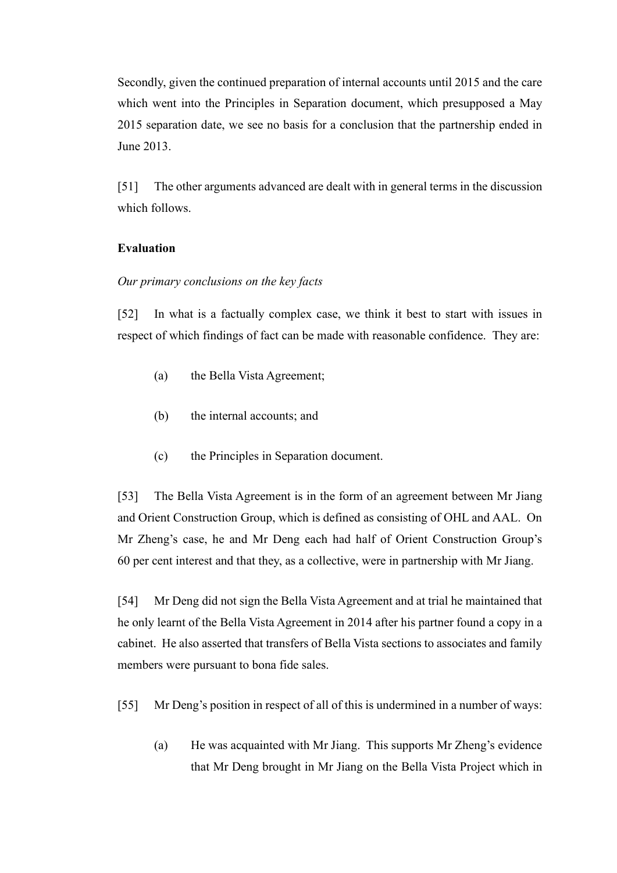Secondly, given the continued preparation of internal accounts until 2015 and the care which went into the Principles in Separation document, which presupposed a May 2015 separation date, we see no basis for a conclusion that the partnership ended in June 2013.

[51] The other arguments advanced are dealt with in general terms in the discussion which follows.

### **Evaluation**

#### *Our primary conclusions on the key facts*

<span id="page-19-0"></span>[52] In what is a factually complex case, we think it best to start with issues in respect of which findings of fact can be made with reasonable confidence. They are:

- (a) the Bella Vista Agreement;
- (b) the internal accounts; and
- (c) the Principles in Separation document.

[53] The Bella Vista Agreement is in the form of an agreement between Mr Jiang and Orient Construction Group, which is defined as consisting of OHL and AAL. On Mr Zheng's case, he and Mr Deng each had half of Orient Construction Group's 60 per cent interest and that they, as a collective, were in partnership with Mr Jiang.

[54] Mr Deng did not sign the Bella Vista Agreement and at trial he maintained that he only learnt of the Bella Vista Agreement in 2014 after his partner found a copy in a cabinet. He also asserted that transfers of Bella Vista sections to associates and family members were pursuant to bona fide sales.

[55] Mr Deng's position in respect of all of this is undermined in a number of ways:

(a) He was acquainted with Mr Jiang. This supports Mr Zheng's evidence that Mr Deng brought in Mr Jiang on the Bella Vista Project which in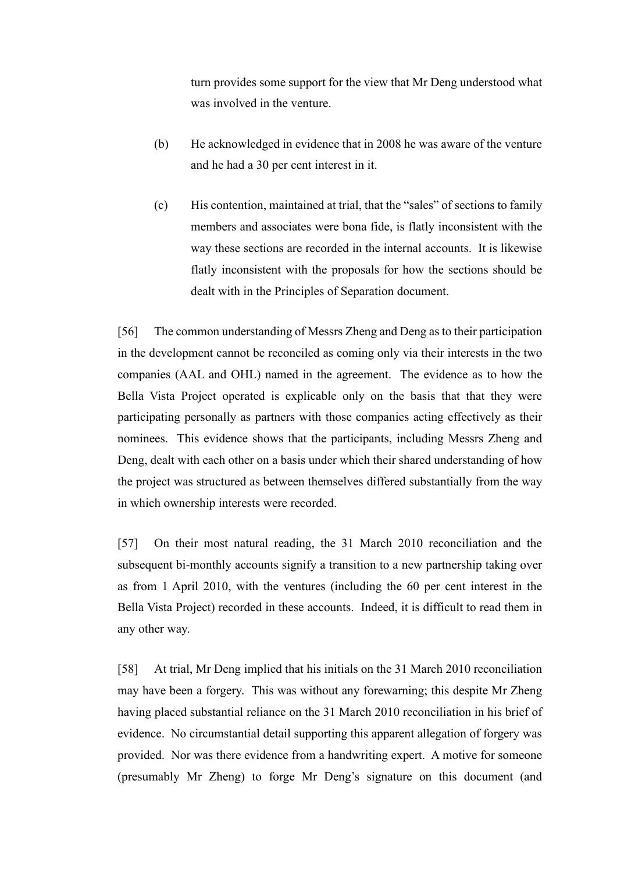turn provides some support for the view that Mr Deng understood what was involved in the venture.

- (b) He acknowledged in evidence that in 2008 he was aware of the venture and he had a 30 per cent interest in it.
- (c) His contention, maintained at trial, that the "sales" of sections to family members and associates were bona fide, is flatly inconsistent with the way these sections are recorded in the internal accounts. It is likewise flatly inconsistent with the proposals for how the sections should be dealt with in the Principles of Separation document.

[56] The common understanding of Messrs Zheng and Deng as to their participation in the development cannot be reconciled as coming only via their interests in the two companies (AAL and OHL) named in the agreement. The evidence as to how the Bella Vista Project operated is explicable only on the basis that that they were participating personally as partners with those companies acting effectively as their nominees. This evidence shows that the participants, including Messrs Zheng and Deng, dealt with each other on a basis under which their shared understanding of how the project was structured as between themselves differed substantially from the way in which ownership interests were recorded.

[57] On their most natural reading, the 31 March 2010 reconciliation and the subsequent bi-monthly accounts signify a transition to a new partnership taking over as from 1 April 2010, with the ventures (including the 60 per cent interest in the Bella Vista Project) recorded in these accounts. Indeed, it is difficult to read them in any other way.

[58] At trial, Mr Deng implied that his initials on the 31 March 2010 reconciliation may have been a forgery. This was without any forewarning; this despite Mr Zheng having placed substantial reliance on the 31 March 2010 reconciliation in his brief of evidence. No circumstantial detail supporting this apparent allegation of forgery was provided. Nor was there evidence from a handwriting expert. A motive for someone (presumably Mr Zheng) to forge Mr Deng's signature on this document (and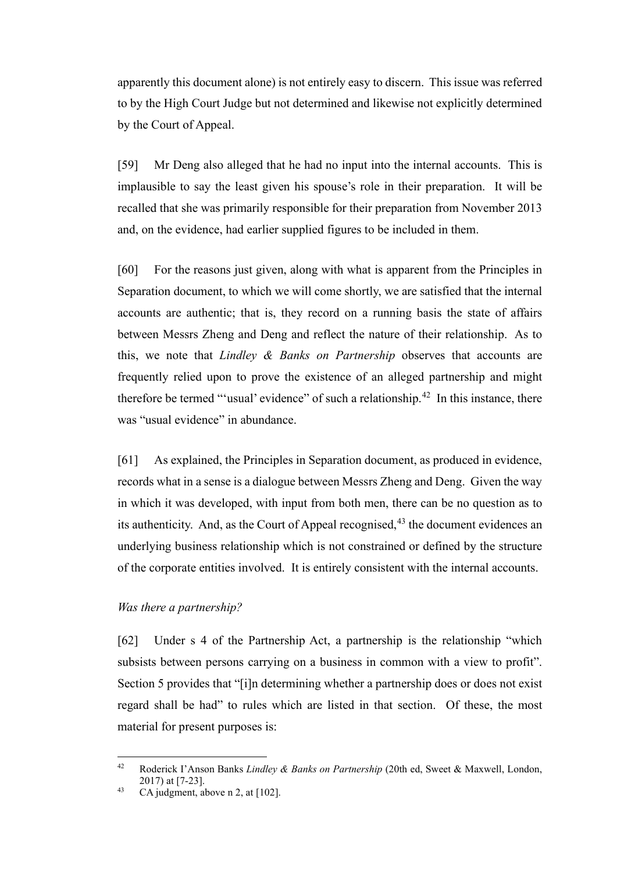apparently this document alone) is not entirely easy to discern. This issue was referred to by the High Court Judge but not determined and likewise not explicitly determined by the Court of Appeal.

[59] Mr Deng also alleged that he had no input into the internal accounts. This is implausible to say the least given his spouse's role in their preparation. It will be recalled that she was primarily responsible for their preparation from November 2013 and, on the evidence, had earlier supplied figures to be included in them.

[60] For the reasons just given, along with what is apparent from the Principles in Separation document, to which we will come shortly, we are satisfied that the internal accounts are authentic; that is, they record on a running basis the state of affairs between Messrs Zheng and Deng and reflect the nature of their relationship. As to this, we note that *Lindley & Banks on Partnership* observes that accounts are frequently relied upon to prove the existence of an alleged partnership and might therefore be termed "'usual' evidence" of such a relationship.<sup>[42](#page-21-1)</sup> In this instance, there was "usual evidence" in abundance.

[61] As explained, the Principles in Separation document, as produced in evidence, records what in a sense is a dialogue between Messrs Zheng and Deng. Given the way in which it was developed, with input from both men, there can be no question as to its authenticity. And, as the Court of Appeal recognised,  $43$  the document evidences an underlying business relationship which is not constrained or defined by the structure of the corporate entities involved. It is entirely consistent with the internal accounts.

#### *Was there a partnership?*

<span id="page-21-0"></span>[62] Under s 4 of the Partnership Act, a partnership is the relationship "which subsists between persons carrying on a business in common with a view to profit". Section 5 provides that "[i]n determining whether a partnership does or does not exist regard shall be had" to rules which are listed in that section. Of these, the most material for present purposes is:

<span id="page-21-1"></span><sup>42</sup> Roderick I'Anson Banks *Lindley & Banks on Partnership* (20th ed, Sweet & Maxwell, London, 2017) at [7-23].

<span id="page-21-2"></span><sup>43</sup> CA judgment, above n [2,](#page-1-4) at  $[102]$ .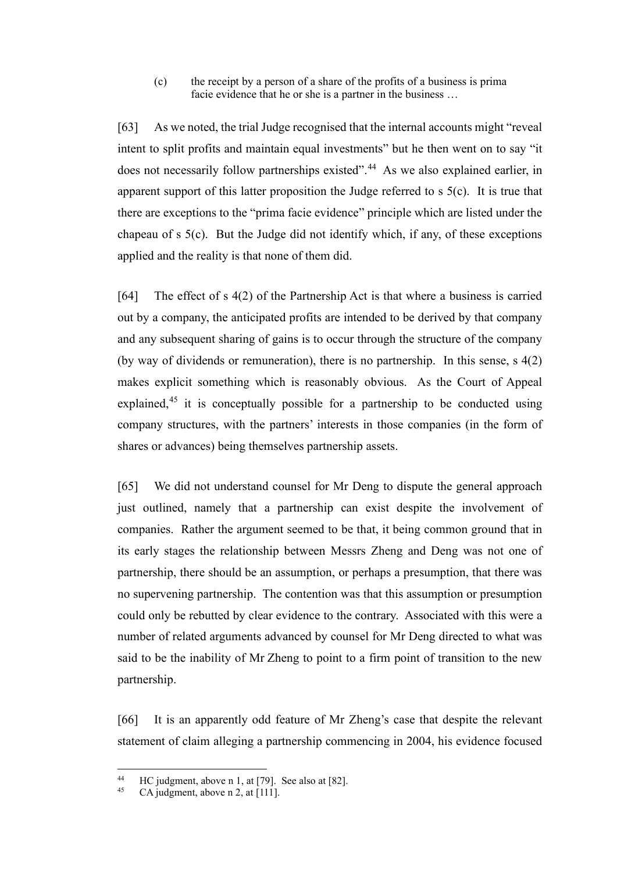(c) the receipt by a person of a share of the profits of a business is prima facie evidence that he or she is a partner in the business …

[63] As we noted, the trial Judge recognised that the internal accounts might "reveal intent to split profits and maintain equal investments" but he then went on to say "it does not necessarily follow partnerships existed".<sup>[44](#page-22-0)</sup> As we also explained earlier, in apparent support of this latter proposition the Judge referred to s 5(c). It is true that there are exceptions to the "prima facie evidence" principle which are listed under the chapeau of s 5(c). But the Judge did not identify which, if any, of these exceptions applied and the reality is that none of them did.

[64] The effect of s 4(2) of the Partnership Act is that where a business is carried out by a company, the anticipated profits are intended to be derived by that company and any subsequent sharing of gains is to occur through the structure of the company (by way of dividends or remuneration), there is no partnership. In this sense, s 4(2) makes explicit something which is reasonably obvious. As the Court of Appeal explained,<sup>[45](#page-22-1)</sup> it is conceptually possible for a partnership to be conducted using company structures, with the partners' interests in those companies (in the form of shares or advances) being themselves partnership assets.

[65] We did not understand counsel for Mr Deng to dispute the general approach just outlined, namely that a partnership can exist despite the involvement of companies. Rather the argument seemed to be that, it being common ground that in its early stages the relationship between Messrs Zheng and Deng was not one of partnership, there should be an assumption, or perhaps a presumption, that there was no supervening partnership. The contention was that this assumption or presumption could only be rebutted by clear evidence to the contrary. Associated with this were a number of related arguments advanced by counsel for Mr Deng directed to what was said to be the inability of Mr Zheng to point to a firm point of transition to the new partnership.

[66] It is an apparently odd feature of Mr Zheng's case that despite the relevant statement of claim alleging a partnership commencing in 2004, his evidence focused

<span id="page-22-1"></span><span id="page-22-0"></span><sup>&</sup>lt;sup>44</sup> HC judgment, above [n 1,](#page-1-5) at [79]. See also at [82].

CA judgment, above n [2,](#page-1-4) at  $[111]$ .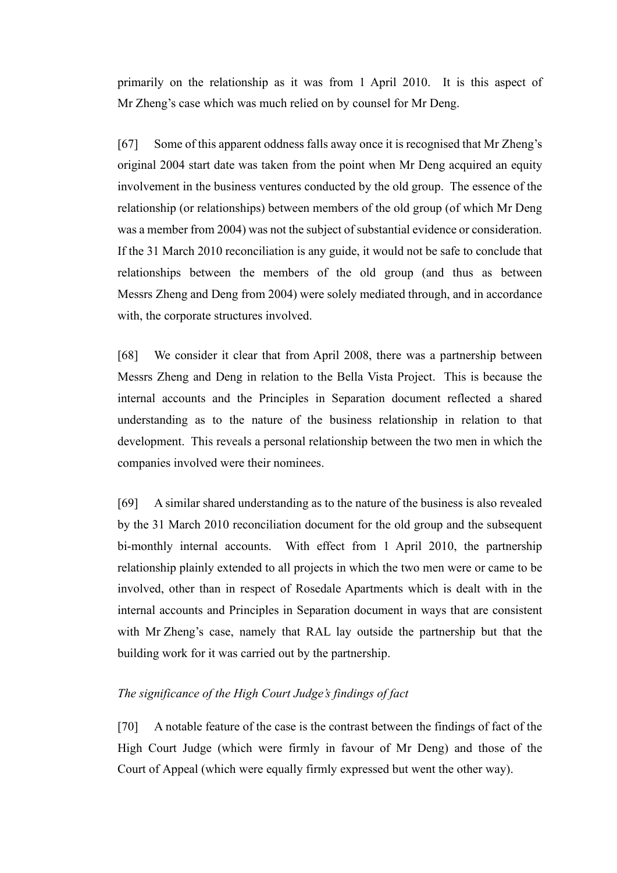primarily on the relationship as it was from 1 April 2010. It is this aspect of Mr Zheng's case which was much relied on by counsel for Mr Deng.

[67] Some of this apparent oddness falls away once it is recognised that Mr Zheng's original 2004 start date was taken from the point when Mr Deng acquired an equity involvement in the business ventures conducted by the old group. The essence of the relationship (or relationships) between members of the old group (of which Mr Deng was a member from 2004) was not the subject of substantial evidence or consideration. If the 31 March 2010 reconciliation is any guide, it would not be safe to conclude that relationships between the members of the old group (and thus as between Messrs Zheng and Deng from 2004) were solely mediated through, and in accordance with, the corporate structures involved.

[68] We consider it clear that from April 2008, there was a partnership between Messrs Zheng and Deng in relation to the Bella Vista Project. This is because the internal accounts and the Principles in Separation document reflected a shared understanding as to the nature of the business relationship in relation to that development. This reveals a personal relationship between the two men in which the companies involved were their nominees.

[69] A similar shared understanding as to the nature of the business is also revealed by the 31 March 2010 reconciliation document for the old group and the subsequent bi-monthly internal accounts. With effect from 1 April 2010, the partnership relationship plainly extended to all projects in which the two men were or came to be involved, other than in respect of Rosedale Apartments which is dealt with in the internal accounts and Principles in Separation document in ways that are consistent with Mr Zheng's case, namely that RAL lay outside the partnership but that the building work for it was carried out by the partnership.

## *The significance of the High Court Judge's findings of fact*

<span id="page-23-0"></span>[70] A notable feature of the case is the contrast between the findings of fact of the High Court Judge (which were firmly in favour of Mr Deng) and those of the Court of Appeal (which were equally firmly expressed but went the other way).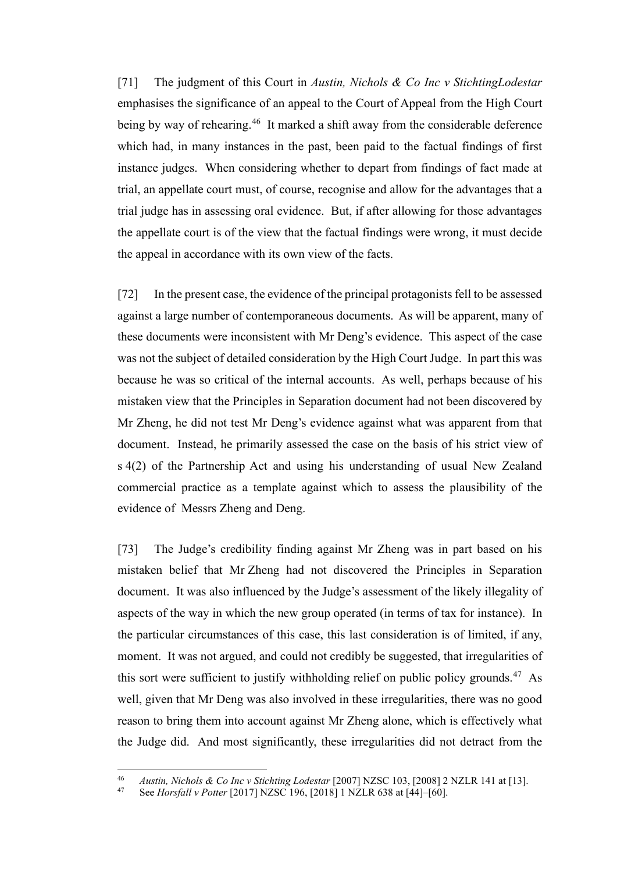[71] The judgment of this Court in *Austin, Nichols & Co Inc v StichtingLodestar* emphasises the significance of an appeal to the Court of Appeal from the High Court being by way of rehearing.<sup>46</sup> It marked a shift away from the considerable deference which had, in many instances in the past, been paid to the factual findings of first instance judges. When considering whether to depart from findings of fact made at trial, an appellate court must, of course, recognise and allow for the advantages that a trial judge has in assessing oral evidence. But, if after allowing for those advantages the appellate court is of the view that the factual findings were wrong, it must decide the appeal in accordance with its own view of the facts.

[72] In the present case, the evidence of the principal protagonists fell to be assessed against a large number of contemporaneous documents. As will be apparent, many of these documents were inconsistent with Mr Deng's evidence. This aspect of the case was not the subject of detailed consideration by the High Court Judge. In part this was because he was so critical of the internal accounts. As well, perhaps because of his mistaken view that the Principles in Separation document had not been discovered by Mr Zheng, he did not test Mr Deng's evidence against what was apparent from that document. Instead, he primarily assessed the case on the basis of his strict view of s 4(2) of the Partnership Act and using his understanding of usual New Zealand commercial practice as a template against which to assess the plausibility of the evidence of Messrs Zheng and Deng.

[73] The Judge's credibility finding against Mr Zheng was in part based on his mistaken belief that Mr Zheng had not discovered the Principles in Separation document. It was also influenced by the Judge's assessment of the likely illegality of aspects of the way in which the new group operated (in terms of tax for instance). In the particular circumstances of this case, this last consideration is of limited, if any, moment. It was not argued, and could not credibly be suggested, that irregularities of this sort were sufficient to justify withholding relief on public policy grounds.<sup>47</sup> As well, given that Mr Deng was also involved in these irregularities, there was no good reason to bring them into account against Mr Zheng alone, which is effectively what the Judge did. And most significantly, these irregularities did not detract from the

<span id="page-24-1"></span><span id="page-24-0"></span><sup>46</sup> *Austin, Nichols & Co Inc v Stichting Lodestar* [2007] NZSC 103, [2008] 2 NZLR 141 at [13].

<sup>47</sup> See *Horsfall v Potter* [2017] NZSC 196, [2018] 1 NZLR 638 at [44]–[60].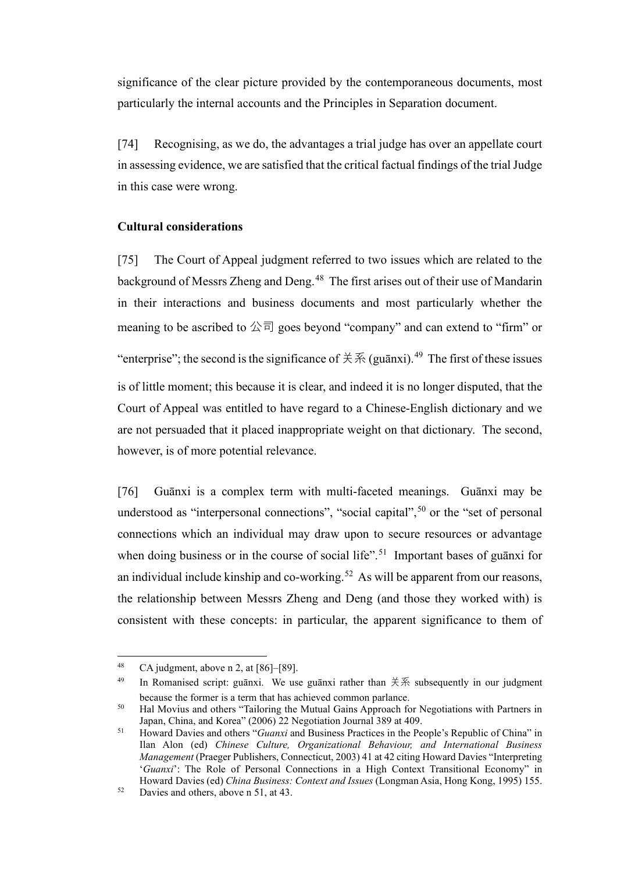significance of the clear picture provided by the contemporaneous documents, most particularly the internal accounts and the Principles in Separation document.

[74] Recognising, as we do, the advantages a trial judge has over an appellate court in assessing evidence, we are satisfied that the critical factual findings of the trial Judge in this case were wrong.

#### **Cultural considerations**

<span id="page-25-0"></span>[75] The Court of Appeal judgment referred to two issues which are related to the background of Messrs Zheng and Deng.<sup>48</sup> The first arises out of their use of Mandarin in their interactions and business documents and most particularly whether the meaning to be ascribed to  $\triangle \overline{\Box}$  goes beyond "company" and can extend to "firm" or "enterprise"; the second is the significance of  $\sharp \mathcal{F}$  (guānxi).<sup>[49](#page-25-3)</sup> The first of these issues is of little moment; this because it is clear, and indeed it is no longer disputed, that the Court of Appeal was entitled to have regard to a Chinese-English dictionary and we are not persuaded that it placed inappropriate weight on that dictionary. The second, however, is of more potential relevance.

<span id="page-25-1"></span>[76] Guānxi is a complex term with multi-faceted meanings. Guānxi may be understood as "interpersonal connections", "social capital",  $50$  or the "set of personal connections which an individual may draw upon to secure resources or advantage when doing business or in the course of social life".<sup>51</sup> Important bases of guanxi for an individual include kinship and co-working.<sup>52</sup> As will be apparent from our reasons, the relationship between Messrs Zheng and Deng (and those they worked with) is consistent with these concepts: in particular, the apparent significance to them of

<span id="page-25-3"></span><span id="page-25-2"></span><sup>&</sup>lt;sup>48</sup> CA judgment, above n [2,](#page-1-4) at  $[86]$ – $[89]$ .

<sup>&</sup>lt;sup>49</sup> In Romanised script: guānxi. We use guānxi rather than  $\sharp \tilde{\mathcal{F}}$  subsequently in our judgment because the former is a term that has achieved common parlance.

<span id="page-25-4"></span><sup>&</sup>lt;sup>50</sup> Hal Movius and others "Tailoring the Mutual Gains Approach for Negotiations with Partners in Japan, China, and Korea" (2006) 22 Negotiation Journal 389 at 409.

<span id="page-25-5"></span><sup>51</sup> Howard Davies and others "*Guanxi* and Business Practices in the People's Republic of China" in Ilan Alon (ed) *Chinese Culture, Organizational Behaviour, and International Business Management* (Praeger Publishers, Connecticut, 2003) 41 at 42 citing Howard Davies "Interpreting '*Guanxi*': The Role of Personal Connections in a High Context Transitional Economy" in Howard Davies (ed) *China Business: Context and Issues* (Longman Asia, Hong Kong, 1995) 155.

<span id="page-25-6"></span><sup>52</sup> Davies and others, above n [51,](#page-25-1) at 43.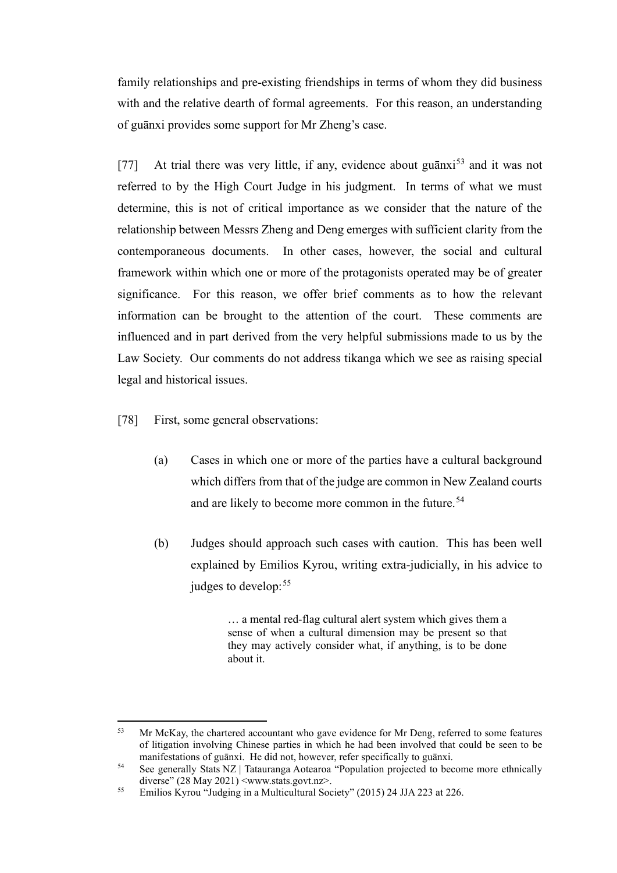family relationships and pre-existing friendships in terms of whom they did business with and the relative dearth of formal agreements. For this reason, an understanding of guānxi provides some support for Mr Zheng's case.

[77] At trial there was very little, if any, evidence about guanxi<sup>[53](#page-26-0)</sup> and it was not referred to by the High Court Judge in his judgment. In terms of what we must determine, this is not of critical importance as we consider that the nature of the relationship between Messrs Zheng and Deng emerges with sufficient clarity from the contemporaneous documents. In other cases, however, the social and cultural framework within which one or more of the protagonists operated may be of greater significance. For this reason, we offer brief comments as to how the relevant information can be brought to the attention of the court. These comments are influenced and in part derived from the very helpful submissions made to us by the Law Society. Our comments do not address tikanga which we see as raising special legal and historical issues.

- [78] First, some general observations:
	- (a) Cases in which one or more of the parties have a cultural background which differs from that of the judge are common in New Zealand courts and are likely to become more common in the future.<sup>[54](#page-26-1)</sup>
	- (b) Judges should approach such cases with caution. This has been well explained by Emilios Kyrou, writing extra-judicially, in his advice to judges to develop:<sup>[55](#page-26-2)</sup>

<span id="page-26-3"></span>… a mental red-flag cultural alert system which gives them a sense of when a cultural dimension may be present so that they may actively consider what, if anything, is to be done about it.

<span id="page-26-0"></span><sup>&</sup>lt;sup>53</sup> Mr McKay, the chartered accountant who gave evidence for Mr Deng, referred to some features of litigation involving Chinese parties in which he had been involved that could be seen to be manifestations of guānxi. He did not, however, refer specifically to guānxi.

<span id="page-26-1"></span><sup>54</sup> See generally Stats NZ | Tatauranga Aotearoa "Population projected to become more ethnically diverse" (28 May 2021) <www.stats.govt.nz>.

<span id="page-26-2"></span><sup>55</sup> Emilios Kyrou "Judging in a Multicultural Society" (2015) 24 JJA 223 at 226.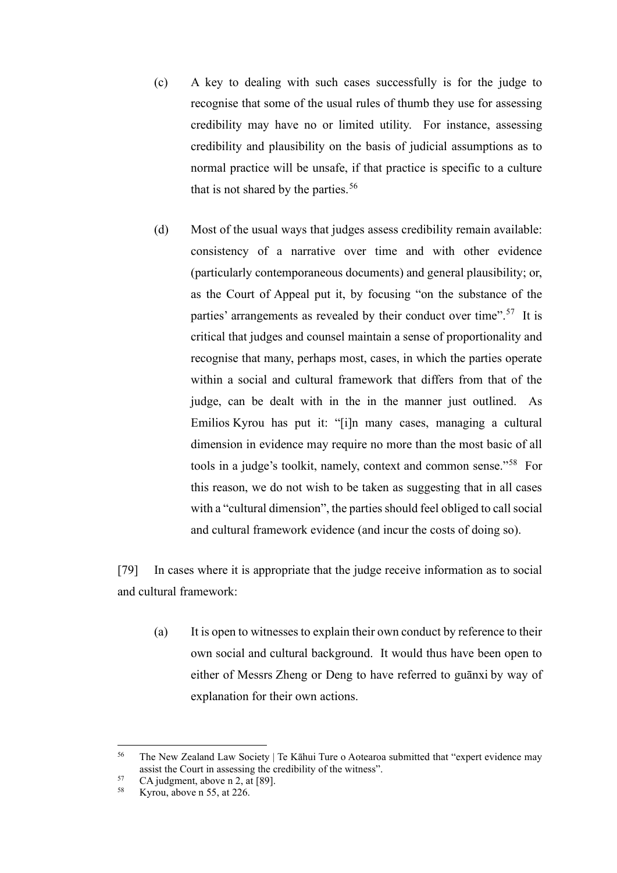- (c) A key to dealing with such cases successfully is for the judge to recognise that some of the usual rules of thumb they use for assessing credibility may have no or limited utility. For instance, assessing credibility and plausibility on the basis of judicial assumptions as to normal practice will be unsafe, if that practice is specific to a culture that is not shared by the parties.  $56$
- (d) Most of the usual ways that judges assess credibility remain available: consistency of a narrative over time and with other evidence (particularly contemporaneous documents) and general plausibility; or, as the Court of Appeal put it, by focusing "on the substance of the parties' arrangements as revealed by their conduct over time".<sup>57</sup> It is critical that judges and counsel maintain a sense of proportionality and recognise that many, perhaps most, cases, in which the parties operate within a social and cultural framework that differs from that of the judge, can be dealt with in the in the manner just outlined. As Emilios Kyrou has put it: "[i]n many cases, managing a cultural dimension in evidence may require no more than the most basic of all tools in a judge's toolkit, namely, context and common sense."[58](#page-27-2) For this reason, we do not wish to be taken as suggesting that in all cases with a "cultural dimension", the parties should feel obliged to call social and cultural framework evidence (and incur the costs of doing so).

[79] In cases where it is appropriate that the judge receive information as to social and cultural framework:

(a) It is open to witnesses to explain their own conduct by reference to their own social and cultural background. It would thus have been open to either of Messrs Zheng or Deng to have referred to guānxi by way of explanation for their own actions.

<span id="page-27-0"></span><sup>&</sup>lt;sup>56</sup> The New Zealand Law Society | Te Kāhui Ture o Aotearoa submitted that "expert evidence may assist the Court in assessing the credibility of the witness".

<span id="page-27-2"></span><span id="page-27-1"></span> $57$  CA judgment, above n [2,](#page-1-4) at [89].

Kyrou, above n [55,](#page-26-3) at 226.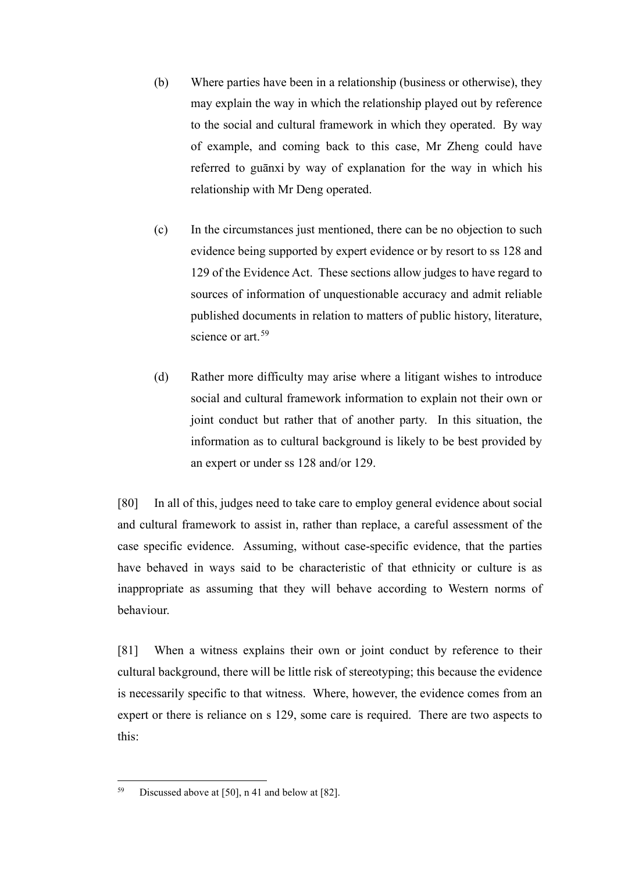- (b) Where parties have been in a relationship (business or otherwise), they may explain the way in which the relationship played out by reference to the social and cultural framework in which they operated. By way of example, and coming back to this case, Mr Zheng could have referred to guānxi by way of explanation for the way in which his relationship with Mr Deng operated.
- (c) In the circumstances just mentioned, there can be no objection to such evidence being supported by expert evidence or by resort to ss 128 and 129 of the Evidence Act. These sections allow judges to have regard to sources of information of unquestionable accuracy and admit reliable published documents in relation to matters of public history, literature, science or art.<sup>[59](#page-28-0)</sup>
- (d) Rather more difficulty may arise where a litigant wishes to introduce social and cultural framework information to explain not their own or joint conduct but rather that of another party. In this situation, the information as to cultural background is likely to be best provided by an expert or under ss 128 and/or 129.

[80] In all of this, judges need to take care to employ general evidence about social and cultural framework to assist in, rather than replace, a careful assessment of the case specific evidence. Assuming, without case-specific evidence, that the parties have behaved in ways said to be characteristic of that ethnicity or culture is as inappropriate as assuming that they will behave according to Western norms of behaviour.

[81] When a witness explains their own or joint conduct by reference to their cultural background, there will be little risk of stereotyping; this because the evidence is necessarily specific to that witness. Where, however, the evidence comes from an expert or there is reliance on s 129, some care is required. There are two aspects to this:

<span id="page-28-0"></span><sup>59</sup> Discussed above at [\[50\],](#page-18-1) n [41](#page-18-2) and below at [\[82\].](#page-29-0)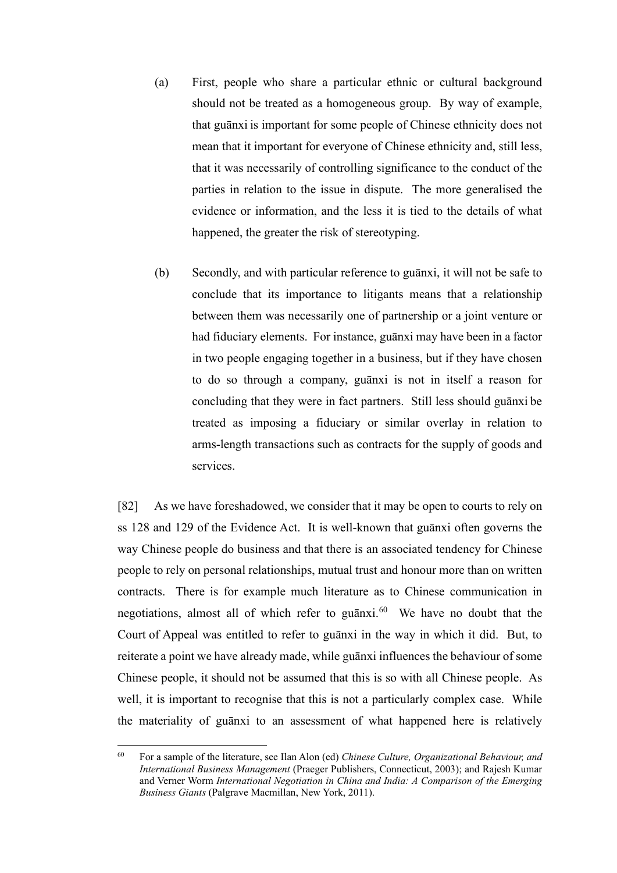- (a) First, people who share a particular ethnic or cultural background should not be treated as a homogeneous group. By way of example, that guānxi is important for some people of Chinese ethnicity does not mean that it important for everyone of Chinese ethnicity and, still less, that it was necessarily of controlling significance to the conduct of the parties in relation to the issue in dispute. The more generalised the evidence or information, and the less it is tied to the details of what happened, the greater the risk of stereotyping.
- (b) Secondly, and with particular reference to guānxi, it will not be safe to conclude that its importance to litigants means that a relationship between them was necessarily one of partnership or a joint venture or had fiduciary elements. For instance, guānxi may have been in a factor in two people engaging together in a business, but if they have chosen to do so through a company, guānxi is not in itself a reason for concluding that they were in fact partners. Still less should guānxi be treated as imposing a fiduciary or similar overlay in relation to arms-length transactions such as contracts for the supply of goods and services.

<span id="page-29-0"></span>[82] As we have foreshadowed, we consider that it may be open to courts to rely on ss 128 and 129 of the Evidence Act. It is well-known that guānxi often governs the way Chinese people do business and that there is an associated tendency for Chinese people to rely on personal relationships, mutual trust and honour more than on written contracts. There is for example much literature as to Chinese communication in negotiations, almost all of which refer to guanxi.<sup>[60](#page-29-1)</sup> We have no doubt that the Court of Appeal was entitled to refer to guānxi in the way in which it did. But, to reiterate a point we have already made, while guānxi influences the behaviour of some Chinese people, it should not be assumed that this is so with all Chinese people. As well, it is important to recognise that this is not a particularly complex case. While the materiality of guānxi to an assessment of what happened here is relatively

<span id="page-29-1"></span><sup>60</sup> For a sample of the literature, see Ilan Alon (ed) *Chinese Culture, Organizational Behaviour, and International Business Management* (Praeger Publishers, Connecticut, 2003); and Rajesh Kumar and Verner Worm *International Negotiation in China and India: A Comparison of the Emerging Business Giants* (Palgrave Macmillan, New York, 2011).